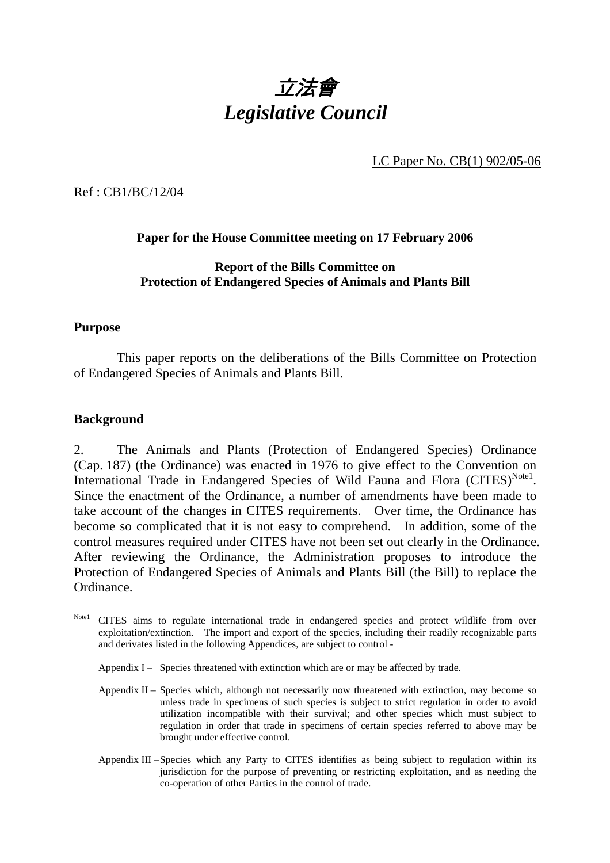# 立法會 *Legislative Council*

LC Paper No. CB(1) 902/05-06

Ref : CB1/BC/12/04

### **Paper for the House Committee meeting on 17 February 2006**

#### **Report of the Bills Committee on Protection of Endangered Species of Animals and Plants Bill**

### **Purpose**

 This paper reports on the deliberations of the Bills Committee on Protection of Endangered Species of Animals and Plants Bill.

### **Background**

2. The Animals and Plants (Protection of Endangered Species) Ordinance (Cap. 187) (the Ordinance) was enacted in 1976 to give effect to the Convention on International Trade in Endangered Species of Wild Fauna and Flora (CITES)<sup>Note1</sup>. Since the enactment of the Ordinance, a number of amendments have been made to take account of the changes in CITES requirements. Over time, the Ordinance has become so complicated that it is not easy to comprehend. In addition, some of the control measures required under CITES have not been set out clearly in the Ordinance. After reviewing the Ordinance, the Administration proposes to introduce the Protection of Endangered Species of Animals and Plants Bill (the Bill) to replace the Ordinance.

Appendix  $I -$  Species threatened with extinction which are or may be affected by trade.

Appendix II – Species which, although not necessarily now threatened with extinction, may become so unless trade in specimens of such species is subject to strict regulation in order to avoid utilization incompatible with their survival; and other species which must subject to regulation in order that trade in specimens of certain species referred to above may be brought under effective control.

Appendix III – Species which any Party to CITES identifies as being subject to regulation within its jurisdiction for the purpose of preventing or restricting exploitation, and as needing the co-operation of other Parties in the control of trade.

 $\overline{a}$ Notel CITES aims to regulate international trade in endangered species and protect wildlife from over exploitation/extinction. The import and export of the species, including their readily recognizable parts and derivates listed in the following Appendices, are subject to control -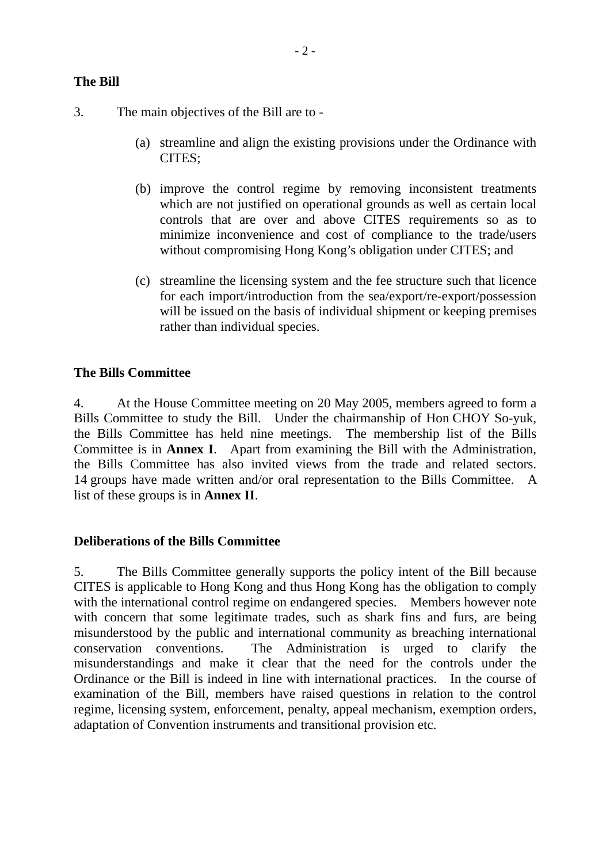3. The main objectives of the Bill are to -

- (a) streamline and align the existing provisions under the Ordinance with CITES;
- (b) improve the control regime by removing inconsistent treatments which are not justified on operational grounds as well as certain local controls that are over and above CITES requirements so as to minimize inconvenience and cost of compliance to the trade/users without compromising Hong Kong's obligation under CITES; and
- (c) streamline the licensing system and the fee structure such that licence for each import/introduction from the sea/export/re-export/possession will be issued on the basis of individual shipment or keeping premises rather than individual species.

# **The Bills Committee**

4. At the House Committee meeting on 20 May 2005, members agreed to form a Bills Committee to study the Bill. Under the chairmanship of Hon CHOY So-yuk, the Bills Committee has held nine meetings. The membership list of the Bills Committee is in **Annex I**. Apart from examining the Bill with the Administration, the Bills Committee has also invited views from the trade and related sectors. 14 groups have made written and/or oral representation to the Bills Committee. A list of these groups is in **Annex II**.

### **Deliberations of the Bills Committee**

5. The Bills Committee generally supports the policy intent of the Bill because CITES is applicable to Hong Kong and thus Hong Kong has the obligation to comply with the international control regime on endangered species. Members however note with concern that some legitimate trades, such as shark fins and furs, are being misunderstood by the public and international community as breaching international conservation conventions. The Administration is urged to clarify the misunderstandings and make it clear that the need for the controls under the Ordinance or the Bill is indeed in line with international practices. In the course of examination of the Bill, members have raised questions in relation to the control regime, licensing system, enforcement, penalty, appeal mechanism, exemption orders, adaptation of Convention instruments and transitional provision etc.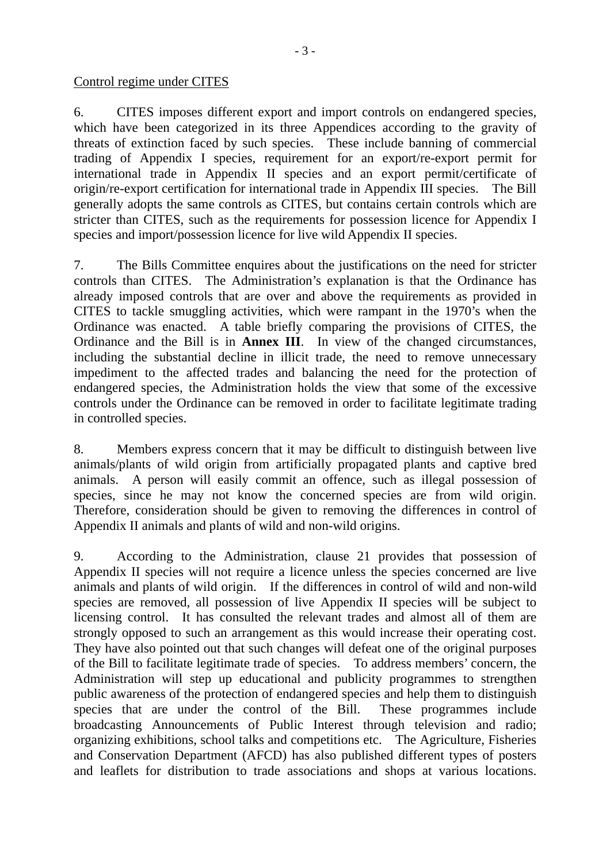#### Control regime under CITES

6. CITES imposes different export and import controls on endangered species, which have been categorized in its three Appendices according to the gravity of threats of extinction faced by such species. These include banning of commercial trading of Appendix I species, requirement for an export/re-export permit for international trade in Appendix II species and an export permit/certificate of origin/re-export certification for international trade in Appendix III species. The Bill generally adopts the same controls as CITES, but contains certain controls which are stricter than CITES, such as the requirements for possession licence for Appendix I species and import/possession licence for live wild Appendix II species.

7. The Bills Committee enquires about the justifications on the need for stricter controls than CITES. The Administration's explanation is that the Ordinance has already imposed controls that are over and above the requirements as provided in CITES to tackle smuggling activities, which were rampant in the 1970's when the Ordinance was enacted. A table briefly comparing the provisions of CITES, the Ordinance and the Bill is in **Annex III**. In view of the changed circumstances, including the substantial decline in illicit trade, the need to remove unnecessary impediment to the affected trades and balancing the need for the protection of endangered species, the Administration holds the view that some of the excessive controls under the Ordinance can be removed in order to facilitate legitimate trading in controlled species.

8. Members express concern that it may be difficult to distinguish between live animals/plants of wild origin from artificially propagated plants and captive bred animals. A person will easily commit an offence, such as illegal possession of species, since he may not know the concerned species are from wild origin. Therefore, consideration should be given to removing the differences in control of Appendix II animals and plants of wild and non-wild origins.

9. According to the Administration, clause 21 provides that possession of Appendix II species will not require a licence unless the species concerned are live animals and plants of wild origin. If the differences in control of wild and non-wild species are removed, all possession of live Appendix II species will be subject to licensing control. It has consulted the relevant trades and almost all of them are strongly opposed to such an arrangement as this would increase their operating cost. They have also pointed out that such changes will defeat one of the original purposes of the Bill to facilitate legitimate trade of species. To address members' concern, the Administration will step up educational and publicity programmes to strengthen public awareness of the protection of endangered species and help them to distinguish species that are under the control of the Bill. These programmes include broadcasting Announcements of Public Interest through television and radio; organizing exhibitions, school talks and competitions etc. The Agriculture, Fisheries and Conservation Department (AFCD) has also published different types of posters and leaflets for distribution to trade associations and shops at various locations.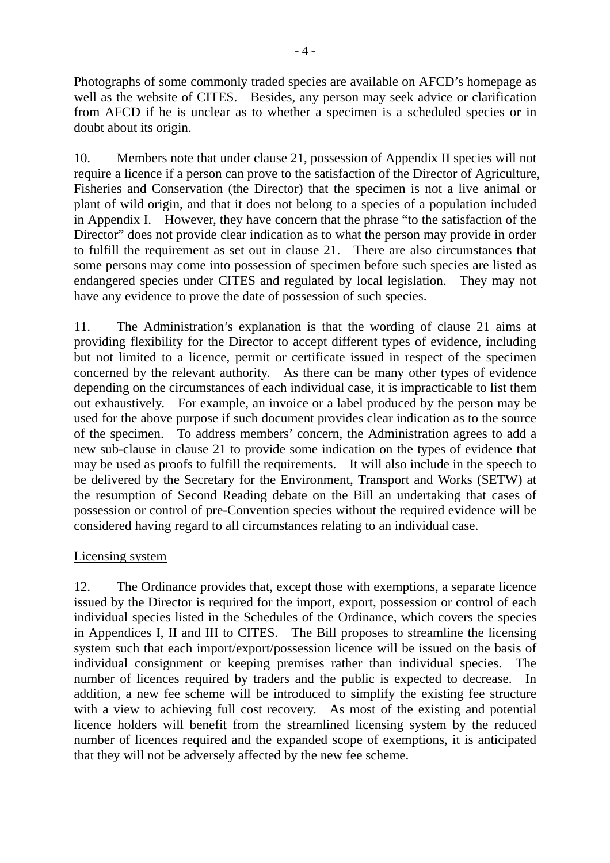Photographs of some commonly traded species are available on AFCD's homepage as well as the website of CITES. Besides, any person may seek advice or clarification from AFCD if he is unclear as to whether a specimen is a scheduled species or in doubt about its origin.

10. Members note that under clause 21, possession of Appendix II species will not require a licence if a person can prove to the satisfaction of the Director of Agriculture, Fisheries and Conservation (the Director) that the specimen is not a live animal or plant of wild origin, and that it does not belong to a species of a population included in Appendix I. However, they have concern that the phrase "to the satisfaction of the Director" does not provide clear indication as to what the person may provide in order to fulfill the requirement as set out in clause 21. There are also circumstances that some persons may come into possession of specimen before such species are listed as endangered species under CITES and regulated by local legislation. They may not have any evidence to prove the date of possession of such species.

11. The Administration's explanation is that the wording of clause 21 aims at providing flexibility for the Director to accept different types of evidence, including but not limited to a licence, permit or certificate issued in respect of the specimen concerned by the relevant authority. As there can be many other types of evidence depending on the circumstances of each individual case, it is impracticable to list them out exhaustively. For example, an invoice or a label produced by the person may be used for the above purpose if such document provides clear indication as to the source of the specimen. To address members' concern, the Administration agrees to add a new sub-clause in clause 21 to provide some indication on the types of evidence that may be used as proofs to fulfill the requirements. It will also include in the speech to be delivered by the Secretary for the Environment, Transport and Works (SETW) at the resumption of Second Reading debate on the Bill an undertaking that cases of possession or control of pre-Convention species without the required evidence will be considered having regard to all circumstances relating to an individual case.

### Licensing system

12. The Ordinance provides that, except those with exemptions, a separate licence issued by the Director is required for the import, export, possession or control of each individual species listed in the Schedules of the Ordinance, which covers the species in Appendices I, II and III to CITES. The Bill proposes to streamline the licensing system such that each import/export/possession licence will be issued on the basis of individual consignment or keeping premises rather than individual species. The number of licences required by traders and the public is expected to decrease. In addition, a new fee scheme will be introduced to simplify the existing fee structure with a view to achieving full cost recovery. As most of the existing and potential licence holders will benefit from the streamlined licensing system by the reduced number of licences required and the expanded scope of exemptions, it is anticipated that they will not be adversely affected by the new fee scheme.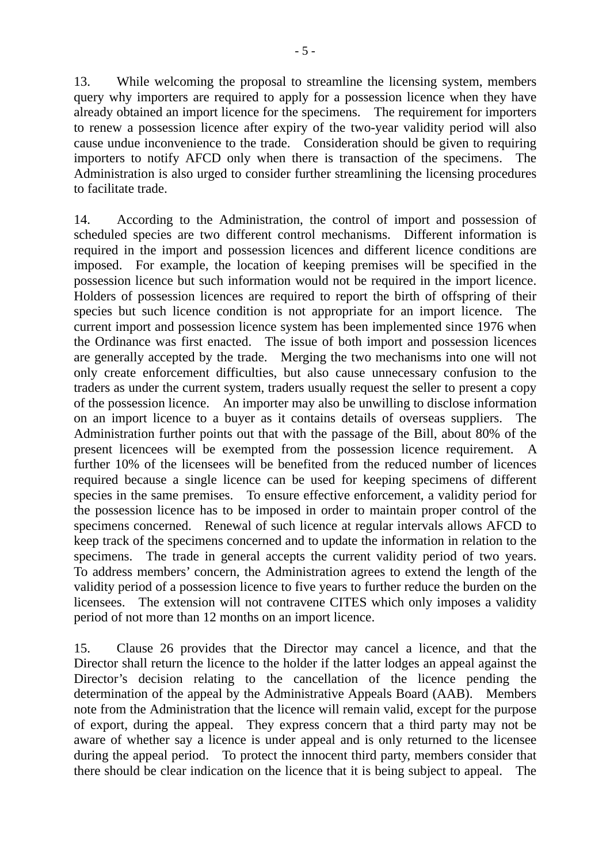13. While welcoming the proposal to streamline the licensing system, members query why importers are required to apply for a possession licence when they have already obtained an import licence for the specimens. The requirement for importers to renew a possession licence after expiry of the two-year validity period will also cause undue inconvenience to the trade. Consideration should be given to requiring importers to notify AFCD only when there is transaction of the specimens. The Administration is also urged to consider further streamlining the licensing procedures to facilitate trade.

14. According to the Administration, the control of import and possession of scheduled species are two different control mechanisms. Different information is required in the import and possession licences and different licence conditions are imposed. For example, the location of keeping premises will be specified in the possession licence but such information would not be required in the import licence. Holders of possession licences are required to report the birth of offspring of their species but such licence condition is not appropriate for an import licence. The current import and possession licence system has been implemented since 1976 when the Ordinance was first enacted. The issue of both import and possession licences are generally accepted by the trade. Merging the two mechanisms into one will not only create enforcement difficulties, but also cause unnecessary confusion to the traders as under the current system, traders usually request the seller to present a copy of the possession licence. An importer may also be unwilling to disclose information on an import licence to a buyer as it contains details of overseas suppliers. The Administration further points out that with the passage of the Bill, about 80% of the present licencees will be exempted from the possession licence requirement. A further 10% of the licensees will be benefited from the reduced number of licences required because a single licence can be used for keeping specimens of different species in the same premises. To ensure effective enforcement, a validity period for the possession licence has to be imposed in order to maintain proper control of the specimens concerned. Renewal of such licence at regular intervals allows AFCD to keep track of the specimens concerned and to update the information in relation to the specimens. The trade in general accepts the current validity period of two years. To address members' concern, the Administration agrees to extend the length of the validity period of a possession licence to five years to further reduce the burden on the licensees. The extension will not contravene CITES which only imposes a validity period of not more than 12 months on an import licence.

15. Clause 26 provides that the Director may cancel a licence, and that the Director shall return the licence to the holder if the latter lodges an appeal against the Director's decision relating to the cancellation of the licence pending the determination of the appeal by the Administrative Appeals Board (AAB). Members note from the Administration that the licence will remain valid, except for the purpose of export, during the appeal. They express concern that a third party may not be aware of whether say a licence is under appeal and is only returned to the licensee during the appeal period. To protect the innocent third party, members consider that there should be clear indication on the licence that it is being subject to appeal. The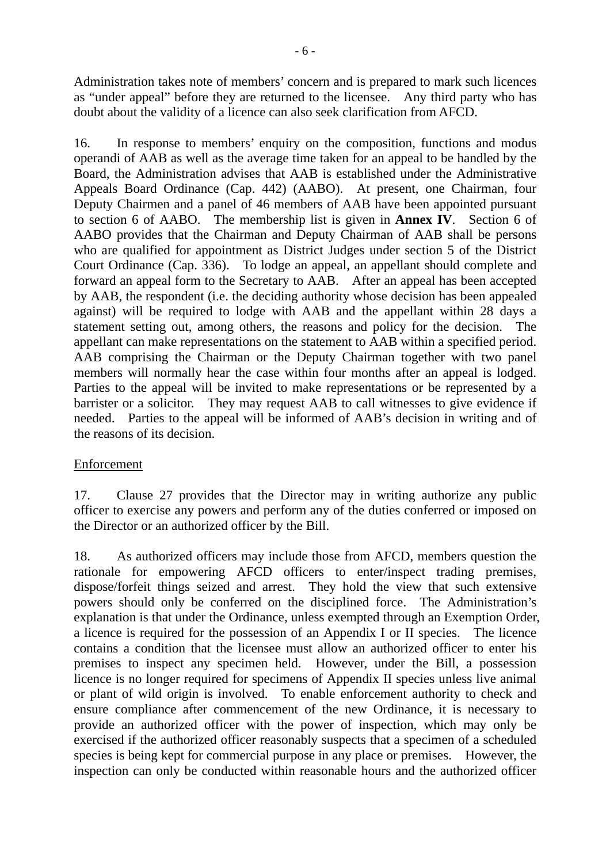Administration takes note of members' concern and is prepared to mark such licences as "under appeal" before they are returned to the licensee. Any third party who has doubt about the validity of a licence can also seek clarification from AFCD.

16. In response to members' enquiry on the composition, functions and modus operandi of AAB as well as the average time taken for an appeal to be handled by the Board, the Administration advises that AAB is established under the Administrative Appeals Board Ordinance (Cap. 442) (AABO). At present, one Chairman, four Deputy Chairmen and a panel of 46 members of AAB have been appointed pursuant to section 6 of AABO. The membership list is given in **Annex IV**. Section 6 of AABO provides that the Chairman and Deputy Chairman of AAB shall be persons who are qualified for appointment as District Judges under section 5 of the District Court Ordinance (Cap. 336). To lodge an appeal, an appellant should complete and forward an appeal form to the Secretary to AAB. After an appeal has been accepted by AAB, the respondent (i.e. the deciding authority whose decision has been appealed against) will be required to lodge with AAB and the appellant within 28 days a statement setting out, among others, the reasons and policy for the decision. The appellant can make representations on the statement to AAB within a specified period. AAB comprising the Chairman or the Deputy Chairman together with two panel members will normally hear the case within four months after an appeal is lodged. Parties to the appeal will be invited to make representations or be represented by a barrister or a solicitor. They may request AAB to call witnesses to give evidence if needed. Parties to the appeal will be informed of AAB's decision in writing and of the reasons of its decision.

### Enforcement

17. Clause 27 provides that the Director may in writing authorize any public officer to exercise any powers and perform any of the duties conferred or imposed on the Director or an authorized officer by the Bill.

18. As authorized officers may include those from AFCD, members question the rationale for empowering AFCD officers to enter/inspect trading premises, dispose/forfeit things seized and arrest. They hold the view that such extensive powers should only be conferred on the disciplined force. The Administration's explanation is that under the Ordinance, unless exempted through an Exemption Order, a licence is required for the possession of an Appendix I or II species. The licence contains a condition that the licensee must allow an authorized officer to enter his premises to inspect any specimen held. However, under the Bill, a possession licence is no longer required for specimens of Appendix II species unless live animal or plant of wild origin is involved. To enable enforcement authority to check and ensure compliance after commencement of the new Ordinance, it is necessary to provide an authorized officer with the power of inspection, which may only be exercised if the authorized officer reasonably suspects that a specimen of a scheduled species is being kept for commercial purpose in any place or premises. However, the inspection can only be conducted within reasonable hours and the authorized officer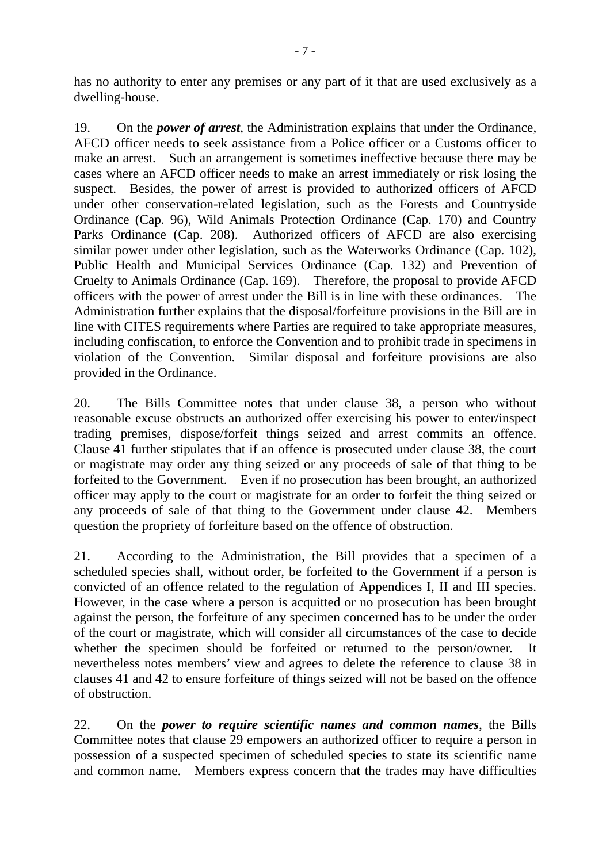has no authority to enter any premises or any part of it that are used exclusively as a dwelling-house.

19. On the *power of arrest*, the Administration explains that under the Ordinance, AFCD officer needs to seek assistance from a Police officer or a Customs officer to make an arrest. Such an arrangement is sometimes ineffective because there may be cases where an AFCD officer needs to make an arrest immediately or risk losing the suspect. Besides, the power of arrest is provided to authorized officers of AFCD under other conservation-related legislation, such as the Forests and Countryside Ordinance (Cap. 96), Wild Animals Protection Ordinance (Cap. 170) and Country Parks Ordinance (Cap. 208). Authorized officers of AFCD are also exercising similar power under other legislation, such as the Waterworks Ordinance (Cap. 102), Public Health and Municipal Services Ordinance (Cap. 132) and Prevention of Cruelty to Animals Ordinance (Cap. 169). Therefore, the proposal to provide AFCD officers with the power of arrest under the Bill is in line with these ordinances. The Administration further explains that the disposal/forfeiture provisions in the Bill are in line with CITES requirements where Parties are required to take appropriate measures, including confiscation, to enforce the Convention and to prohibit trade in specimens in violation of the Convention. Similar disposal and forfeiture provisions are also provided in the Ordinance.

20. The Bills Committee notes that under clause 38, a person who without reasonable excuse obstructs an authorized offer exercising his power to enter/inspect trading premises, dispose/forfeit things seized and arrest commits an offence. Clause 41 further stipulates that if an offence is prosecuted under clause 38, the court or magistrate may order any thing seized or any proceeds of sale of that thing to be forfeited to the Government. Even if no prosecution has been brought, an authorized officer may apply to the court or magistrate for an order to forfeit the thing seized or any proceeds of sale of that thing to the Government under clause 42. Members question the propriety of forfeiture based on the offence of obstruction.

21. According to the Administration, the Bill provides that a specimen of a scheduled species shall, without order, be forfeited to the Government if a person is convicted of an offence related to the regulation of Appendices I, II and III species. However, in the case where a person is acquitted or no prosecution has been brought against the person, the forfeiture of any specimen concerned has to be under the order of the court or magistrate, which will consider all circumstances of the case to decide whether the specimen should be forfeited or returned to the person/owner. It nevertheless notes members' view and agrees to delete the reference to clause 38 in clauses 41 and 42 to ensure forfeiture of things seized will not be based on the offence of obstruction.

22. On the *power to require scientific names and common names*, the Bills Committee notes that clause 29 empowers an authorized officer to require a person in possession of a suspected specimen of scheduled species to state its scientific name and common name. Members express concern that the trades may have difficulties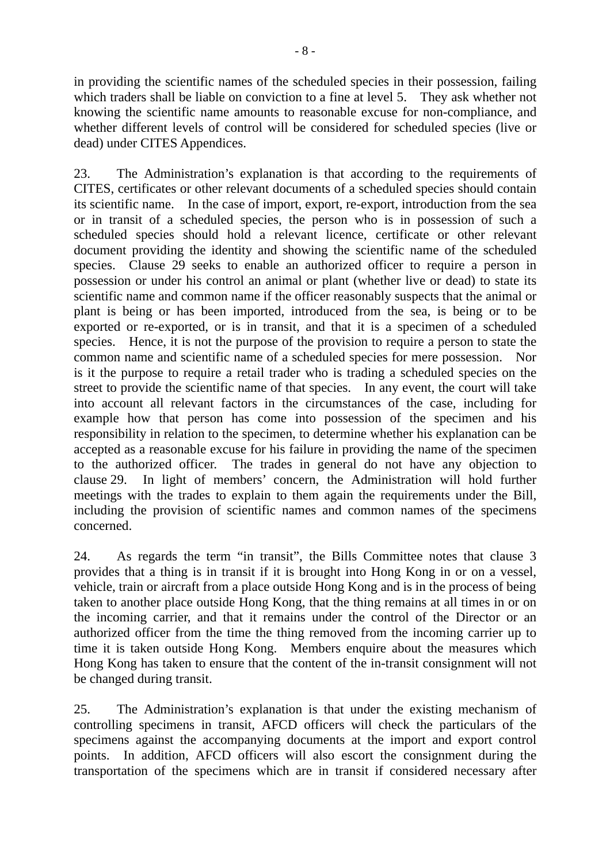in providing the scientific names of the scheduled species in their possession, failing which traders shall be liable on conviction to a fine at level 5. They ask whether not knowing the scientific name amounts to reasonable excuse for non-compliance, and whether different levels of control will be considered for scheduled species (live or dead) under CITES Appendices.

23. The Administration's explanation is that according to the requirements of CITES, certificates or other relevant documents of a scheduled species should contain its scientific name. In the case of import, export, re-export, introduction from the sea or in transit of a scheduled species, the person who is in possession of such a scheduled species should hold a relevant licence, certificate or other relevant document providing the identity and showing the scientific name of the scheduled species. Clause 29 seeks to enable an authorized officer to require a person in possession or under his control an animal or plant (whether live or dead) to state its scientific name and common name if the officer reasonably suspects that the animal or plant is being or has been imported, introduced from the sea, is being or to be exported or re-exported, or is in transit, and that it is a specimen of a scheduled species. Hence, it is not the purpose of the provision to require a person to state the common name and scientific name of a scheduled species for mere possession. Nor is it the purpose to require a retail trader who is trading a scheduled species on the street to provide the scientific name of that species. In any event, the court will take into account all relevant factors in the circumstances of the case, including for example how that person has come into possession of the specimen and his responsibility in relation to the specimen, to determine whether his explanation can be accepted as a reasonable excuse for his failure in providing the name of the specimen to the authorized officer. The trades in general do not have any objection to clause 29. In light of members' concern, the Administration will hold further meetings with the trades to explain to them again the requirements under the Bill, including the provision of scientific names and common names of the specimens concerned.

24. As regards the term "in transit", the Bills Committee notes that clause 3 provides that a thing is in transit if it is brought into Hong Kong in or on a vessel, vehicle, train or aircraft from a place outside Hong Kong and is in the process of being taken to another place outside Hong Kong, that the thing remains at all times in or on the incoming carrier, and that it remains under the control of the Director or an authorized officer from the time the thing removed from the incoming carrier up to time it is taken outside Hong Kong. Members enquire about the measures which Hong Kong has taken to ensure that the content of the in-transit consignment will not be changed during transit.

25. The Administration's explanation is that under the existing mechanism of controlling specimens in transit, AFCD officers will check the particulars of the specimens against the accompanying documents at the import and export control points. In addition, AFCD officers will also escort the consignment during the transportation of the specimens which are in transit if considered necessary after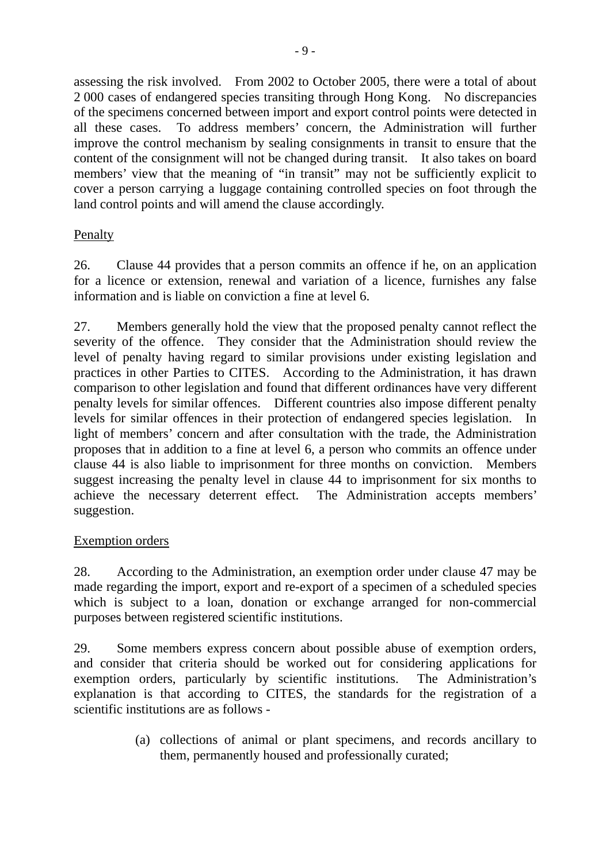assessing the risk involved. From 2002 to October 2005, there were a total of about 2 000 cases of endangered species transiting through Hong Kong. No discrepancies of the specimens concerned between import and export control points were detected in all these cases. To address members' concern, the Administration will further improve the control mechanism by sealing consignments in transit to ensure that the content of the consignment will not be changed during transit. It also takes on board members' view that the meaning of "in transit" may not be sufficiently explicit to cover a person carrying a luggage containing controlled species on foot through the land control points and will amend the clause accordingly.

# Penalty

26. Clause 44 provides that a person commits an offence if he, on an application for a licence or extension, renewal and variation of a licence, furnishes any false information and is liable on conviction a fine at level 6.

27. Members generally hold the view that the proposed penalty cannot reflect the severity of the offence. They consider that the Administration should review the level of penalty having regard to similar provisions under existing legislation and practices in other Parties to CITES. According to the Administration, it has drawn comparison to other legislation and found that different ordinances have very different penalty levels for similar offences. Different countries also impose different penalty levels for similar offences in their protection of endangered species legislation. In light of members' concern and after consultation with the trade, the Administration proposes that in addition to a fine at level 6, a person who commits an offence under clause 44 is also liable to imprisonment for three months on conviction. Members suggest increasing the penalty level in clause 44 to imprisonment for six months to achieve the necessary deterrent effect. The Administration accepts members' suggestion.

### Exemption orders

28. According to the Administration, an exemption order under clause 47 may be made regarding the import, export and re-export of a specimen of a scheduled species which is subject to a loan, donation or exchange arranged for non-commercial purposes between registered scientific institutions.

29. Some members express concern about possible abuse of exemption orders, and consider that criteria should be worked out for considering applications for exemption orders, particularly by scientific institutions. The Administration's explanation is that according to CITES, the standards for the registration of a scientific institutions are as follows -

> (a) collections of animal or plant specimens, and records ancillary to them, permanently housed and professionally curated;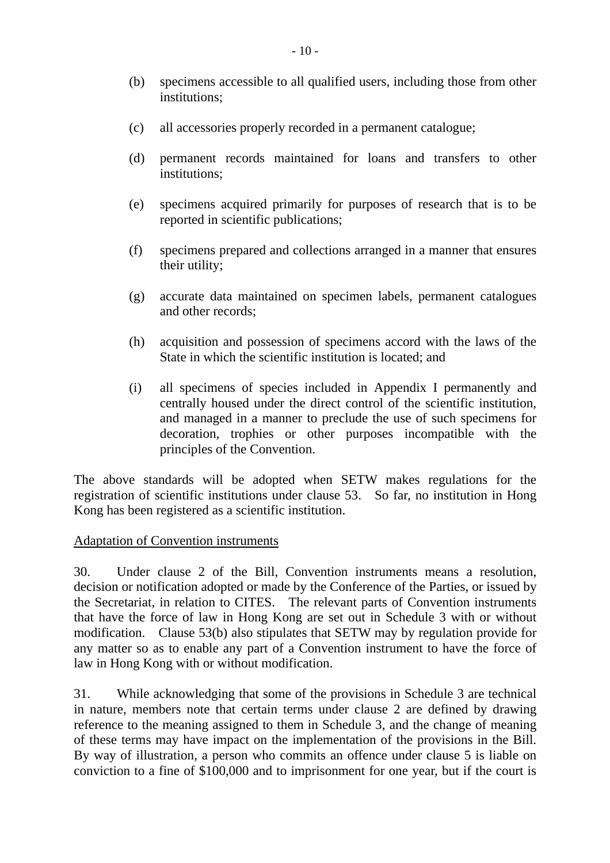- (b) specimens accessible to all qualified users, including those from other institutions;
- (c) all accessories properly recorded in a permanent catalogue;
- (d) permanent records maintained for loans and transfers to other institutions;
- (e) specimens acquired primarily for purposes of research that is to be reported in scientific publications;
- (f) specimens prepared and collections arranged in a manner that ensures their utility;
- (g) accurate data maintained on specimen labels, permanent catalogues and other records;
- (h) acquisition and possession of specimens accord with the laws of the State in which the scientific institution is located; and
- (i) all specimens of species included in Appendix I permanently and centrally housed under the direct control of the scientific institution, and managed in a manner to preclude the use of such specimens for decoration, trophies or other purposes incompatible with the principles of the Convention.

The above standards will be adopted when SETW makes regulations for the registration of scientific institutions under clause 53. So far, no institution in Hong Kong has been registered as a scientific institution.

### Adaptation of Convention instruments

30. Under clause 2 of the Bill, Convention instruments means a resolution, decision or notification adopted or made by the Conference of the Parties, or issued by the Secretariat, in relation to CITES. The relevant parts of Convention instruments that have the force of law in Hong Kong are set out in Schedule 3 with or without modification. Clause 53(b) also stipulates that SETW may by regulation provide for any matter so as to enable any part of a Convention instrument to have the force of law in Hong Kong with or without modification.

31. While acknowledging that some of the provisions in Schedule 3 are technical in nature, members note that certain terms under clause 2 are defined by drawing reference to the meaning assigned to them in Schedule 3, and the change of meaning of these terms may have impact on the implementation of the provisions in the Bill. By way of illustration, a person who commits an offence under clause 5 is liable on conviction to a fine of \$100,000 and to imprisonment for one year, but if the court is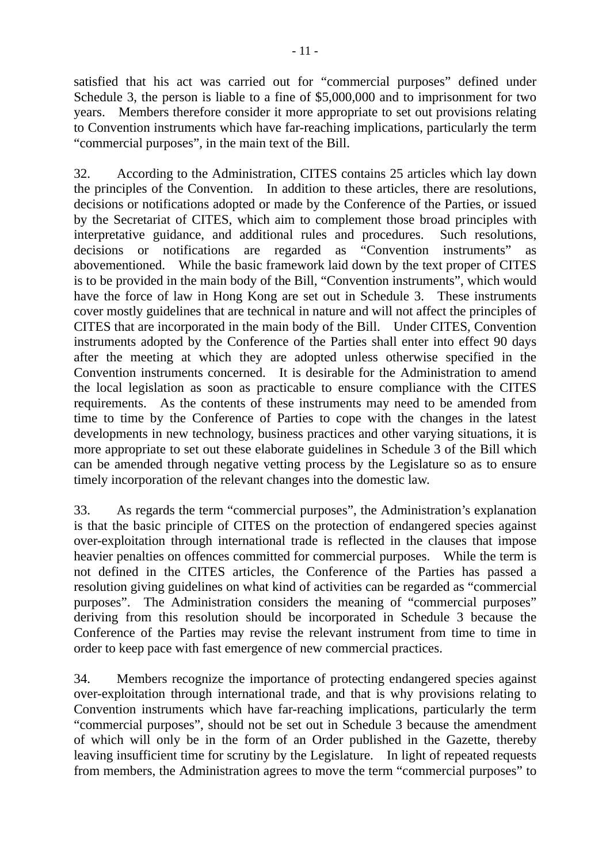satisfied that his act was carried out for "commercial purposes" defined under Schedule 3, the person is liable to a fine of \$5,000,000 and to imprisonment for two years. Members therefore consider it more appropriate to set out provisions relating to Convention instruments which have far-reaching implications, particularly the term "commercial purposes", in the main text of the Bill.

32. According to the Administration, CITES contains 25 articles which lay down the principles of the Convention. In addition to these articles, there are resolutions, decisions or notifications adopted or made by the Conference of the Parties, or issued by the Secretariat of CITES, which aim to complement those broad principles with interpretative guidance, and additional rules and procedures. Such resolutions, decisions or notifications are regarded as "Convention instruments" as abovementioned. While the basic framework laid down by the text proper of CITES is to be provided in the main body of the Bill, "Convention instruments", which would have the force of law in Hong Kong are set out in Schedule 3. These instruments cover mostly guidelines that are technical in nature and will not affect the principles of CITES that are incorporated in the main body of the Bill. Under CITES, Convention instruments adopted by the Conference of the Parties shall enter into effect 90 days after the meeting at which they are adopted unless otherwise specified in the Convention instruments concerned. It is desirable for the Administration to amend the local legislation as soon as practicable to ensure compliance with the CITES requirements. As the contents of these instruments may need to be amended from time to time by the Conference of Parties to cope with the changes in the latest developments in new technology, business practices and other varying situations, it is more appropriate to set out these elaborate guidelines in Schedule 3 of the Bill which can be amended through negative vetting process by the Legislature so as to ensure timely incorporation of the relevant changes into the domestic law.

33. As regards the term "commercial purposes", the Administration's explanation is that the basic principle of CITES on the protection of endangered species against over-exploitation through international trade is reflected in the clauses that impose heavier penalties on offences committed for commercial purposes. While the term is not defined in the CITES articles, the Conference of the Parties has passed a resolution giving guidelines on what kind of activities can be regarded as "commercial purposes". The Administration considers the meaning of "commercial purposes" deriving from this resolution should be incorporated in Schedule 3 because the Conference of the Parties may revise the relevant instrument from time to time in order to keep pace with fast emergence of new commercial practices.

34. Members recognize the importance of protecting endangered species against over-exploitation through international trade, and that is why provisions relating to Convention instruments which have far-reaching implications, particularly the term "commercial purposes", should not be set out in Schedule 3 because the amendment of which will only be in the form of an Order published in the Gazette, thereby leaving insufficient time for scrutiny by the Legislature. In light of repeated requests from members, the Administration agrees to move the term "commercial purposes" to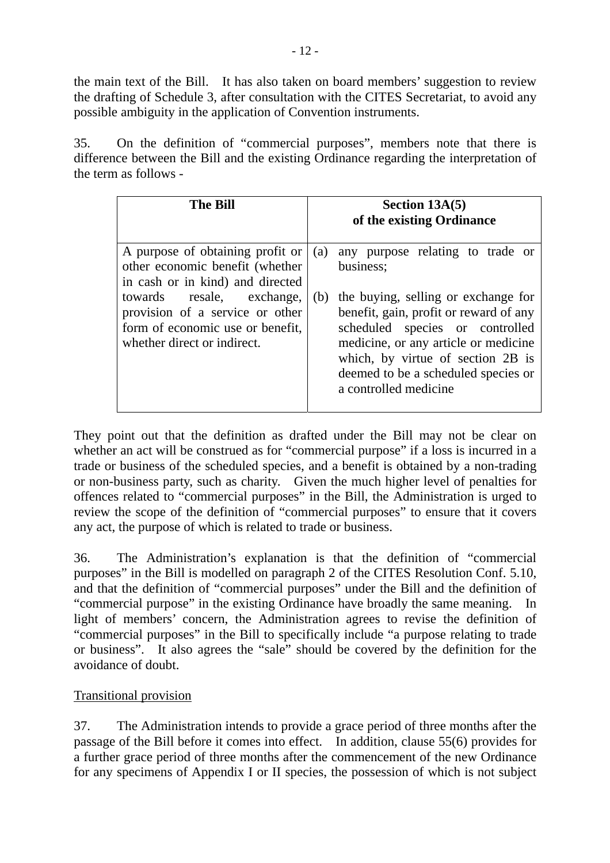the main text of the Bill. It has also taken on board members' suggestion to review the drafting of Schedule 3, after consultation with the CITES Secretariat, to avoid any possible ambiguity in the application of Convention instruments.

35. On the definition of "commercial purposes", members note that there is difference between the Bill and the existing Ordinance regarding the interpretation of the term as follows -

| <b>The Bill</b>                                                                                                                 |     | Section $13A(5)$<br>of the existing Ordinance                                                                                                                                                                                                                 |
|---------------------------------------------------------------------------------------------------------------------------------|-----|---------------------------------------------------------------------------------------------------------------------------------------------------------------------------------------------------------------------------------------------------------------|
| A purpose of obtaining profit or<br>other economic benefit (whether<br>in cash or in kind) and directed                         | (a) | any purpose relating to trade or<br>business;                                                                                                                                                                                                                 |
| towards resale, exchange,<br>provision of a service or other<br>form of economic use or benefit,<br>whether direct or indirect. | (b) | the buying, selling or exchange for<br>benefit, gain, profit or reward of any<br>scheduled species or controlled<br>medicine, or any article or medicine<br>which, by virtue of section 2B is<br>deemed to be a scheduled species or<br>a controlled medicine |

They point out that the definition as drafted under the Bill may not be clear on whether an act will be construed as for "commercial purpose" if a loss is incurred in a trade or business of the scheduled species, and a benefit is obtained by a non-trading or non-business party, such as charity. Given the much higher level of penalties for offences related to "commercial purposes" in the Bill, the Administration is urged to review the scope of the definition of "commercial purposes" to ensure that it covers any act, the purpose of which is related to trade or business.

36. The Administration's explanation is that the definition of "commercial purposes" in the Bill is modelled on paragraph 2 of the CITES Resolution Conf. 5.10, and that the definition of "commercial purposes" under the Bill and the definition of "commercial purpose" in the existing Ordinance have broadly the same meaning. In light of members' concern, the Administration agrees to revise the definition of "commercial purposes" in the Bill to specifically include "a purpose relating to trade or business". It also agrees the "sale" should be covered by the definition for the avoidance of doubt.

### Transitional provision

37. The Administration intends to provide a grace period of three months after the passage of the Bill before it comes into effect. In addition, clause 55(6) provides for a further grace period of three months after the commencement of the new Ordinance for any specimens of Appendix I or II species, the possession of which is not subject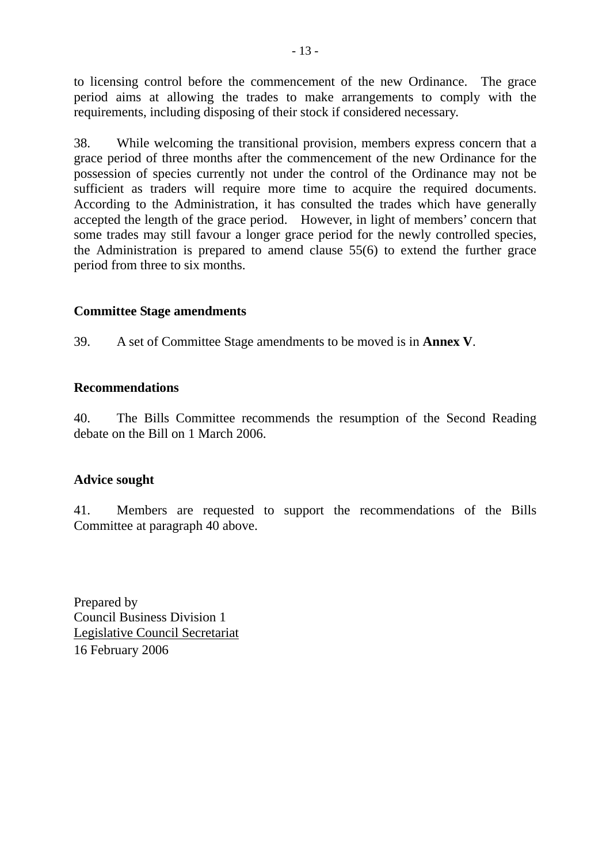to licensing control before the commencement of the new Ordinance. The grace period aims at allowing the trades to make arrangements to comply with the requirements, including disposing of their stock if considered necessary.

38. While welcoming the transitional provision, members express concern that a grace period of three months after the commencement of the new Ordinance for the possession of species currently not under the control of the Ordinance may not be sufficient as traders will require more time to acquire the required documents. According to the Administration, it has consulted the trades which have generally accepted the length of the grace period. However, in light of members' concern that some trades may still favour a longer grace period for the newly controlled species, the Administration is prepared to amend clause 55(6) to extend the further grace period from three to six months.

### **Committee Stage amendments**

39. A set of Committee Stage amendments to be moved is in **Annex V**.

### **Recommendations**

40. The Bills Committee recommends the resumption of the Second Reading debate on the Bill on 1 March 2006.

### **Advice sought**

41. Members are requested to support the recommendations of the Bills Committee at paragraph 40 above.

Prepared by Council Business Division 1 Legislative Council Secretariat 16 February 2006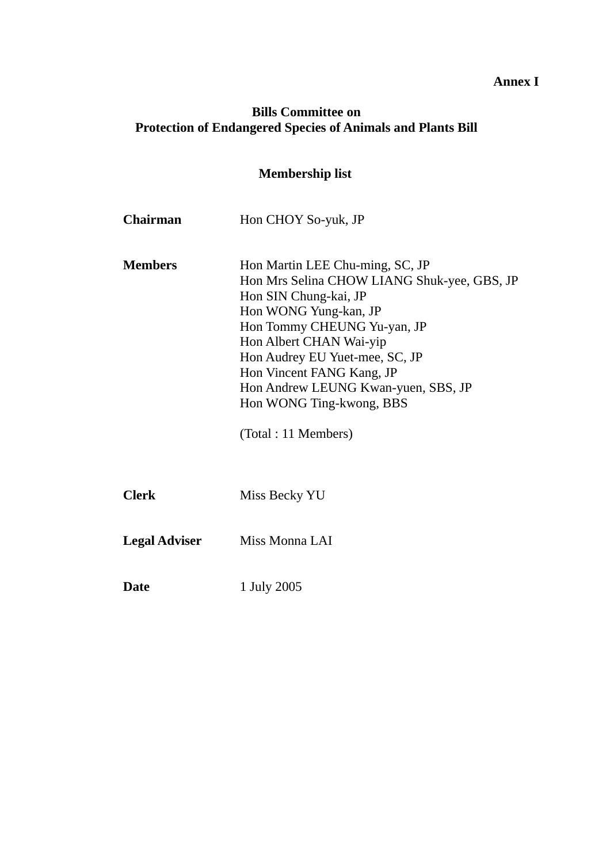# **Annex I**

# **Bills Committee on Protection of Endangered Species of Animals and Plants Bill**

| <b>Membership list</b> |                                                                                                                                                                                                                                                                                                                                                      |  |  |
|------------------------|------------------------------------------------------------------------------------------------------------------------------------------------------------------------------------------------------------------------------------------------------------------------------------------------------------------------------------------------------|--|--|
| <b>Chairman</b>        | Hon CHOY So-yuk, JP                                                                                                                                                                                                                                                                                                                                  |  |  |
| <b>Members</b>         | Hon Martin LEE Chu-ming, SC, JP<br>Hon Mrs Selina CHOW LIANG Shuk-yee, GBS, JP<br>Hon SIN Chung-kai, JP<br>Hon WONG Yung-kan, JP<br>Hon Tommy CHEUNG Yu-yan, JP<br>Hon Albert CHAN Wai-yip<br>Hon Audrey EU Yuet-mee, SC, JP<br>Hon Vincent FANG Kang, JP<br>Hon Andrew LEUNG Kwan-yuen, SBS, JP<br>Hon WONG Ting-kwong, BBS<br>(Total : 11 Members) |  |  |
| <b>Clerk</b>           | Miss Becky YU                                                                                                                                                                                                                                                                                                                                        |  |  |
| <b>Legal Adviser</b>   | Miss Monna LAI                                                                                                                                                                                                                                                                                                                                       |  |  |
| <b>Date</b>            | 1 July 2005                                                                                                                                                                                                                                                                                                                                          |  |  |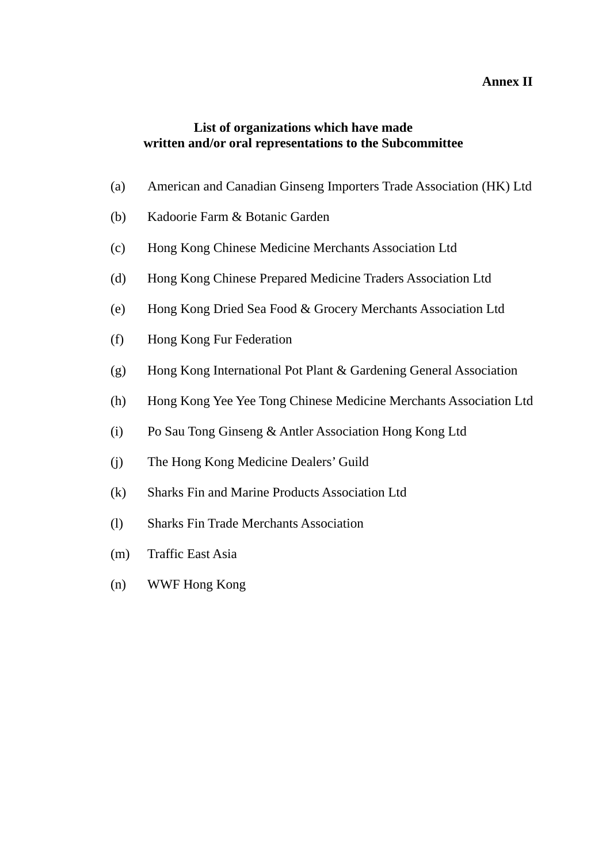### **Annex II**

### **List of organizations which have made written and/or oral representations to the Subcommittee**

- (a) American and Canadian Ginseng Importers Trade Association (HK) Ltd
- (b) Kadoorie Farm & Botanic Garden
- (c) Hong Kong Chinese Medicine Merchants Association Ltd
- (d) Hong Kong Chinese Prepared Medicine Traders Association Ltd
- (e) Hong Kong Dried Sea Food & Grocery Merchants Association Ltd
- (f) Hong Kong Fur Federation
- (g) Hong Kong International Pot Plant & Gardening General Association
- (h) Hong Kong Yee Yee Tong Chinese Medicine Merchants Association Ltd
- (i) Po Sau Tong Ginseng & Antler Association Hong Kong Ltd
- (j) The Hong Kong Medicine Dealers' Guild
- (k) Sharks Fin and Marine Products Association Ltd
- (l) Sharks Fin Trade Merchants Association
- (m) Traffic East Asia
- (n) WWF Hong Kong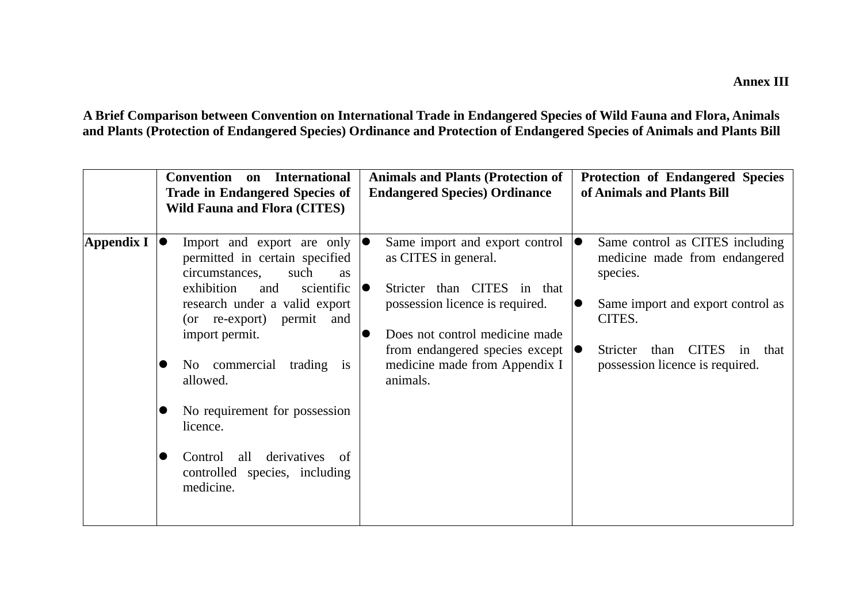**A Brief Comparison between Convention on International Trade in Endangered Species of Wild Fauna and Flora, Animals and Plants (Protection of Endangered Species) Ordinance and Protection of Endangered Species of Animals and Plants Bill** 

|                    | <b>Convention</b><br><b>International</b><br>on<br><b>Trade in Endangered Species of</b><br><b>Wild Fauna and Flora (CITES)</b>                                                                                                                                                                                                                                                                          | <b>Animals and Plants (Protection of</b><br><b>Endangered Species Ordinance</b>                                                                                                                                                                                           | <b>Protection of Endangered Species</b><br>of Animals and Plants Bill                                                                                                                                                     |
|--------------------|----------------------------------------------------------------------------------------------------------------------------------------------------------------------------------------------------------------------------------------------------------------------------------------------------------------------------------------------------------------------------------------------------------|---------------------------------------------------------------------------------------------------------------------------------------------------------------------------------------------------------------------------------------------------------------------------|---------------------------------------------------------------------------------------------------------------------------------------------------------------------------------------------------------------------------|
| $\Delta$ ppendix I | Import and export are only<br>permitted in certain specified<br>circumstances,<br>such<br><b>as</b><br>exhibition<br>scientific<br>and<br>research under a valid export<br>(or re-export) permit and<br>import permit.<br>No commercial<br>trading<br>is<br>allowed.<br>No requirement for possession<br>licence.<br>derivatives<br>Control<br>all<br>- of<br>controlled species, including<br>medicine. | Same import and export control<br>IO<br>as CITES in general.<br>Stricter than CITES in that<br>IO<br>possession licence is required.<br>Does not control medicine made<br>from endangered species except $  \bullet \rangle$<br>medicine made from Appendix I<br>animals. | Same control as CITES including<br>10<br>medicine made from endangered<br>species.<br>Same import and export control as<br>$\bullet$<br>CITES.<br>than CITES<br>Stricter<br>that<br>in<br>possession licence is required. |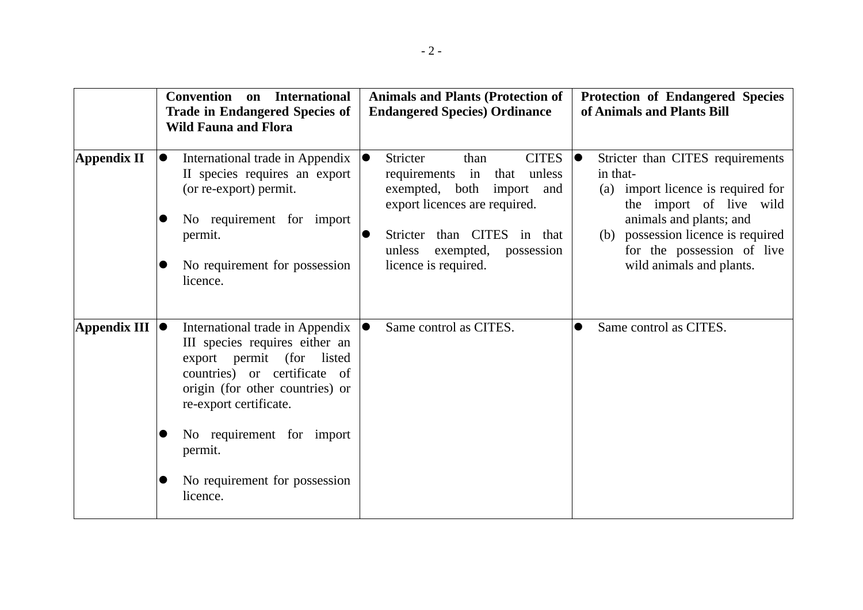|                     | Convention on<br><b>International</b><br><b>Trade in Endangered Species of</b><br><b>Wild Fauna and Flora</b>                                                                                                                                                                                                                           | <b>Animals and Plants (Protection of</b><br><b>Endangered Species) Ordinance</b>                                                                                                                                                         | <b>Protection of Endangered Species</b><br>of Animals and Plants Bill                                                                                                                                                                                    |
|---------------------|-----------------------------------------------------------------------------------------------------------------------------------------------------------------------------------------------------------------------------------------------------------------------------------------------------------------------------------------|------------------------------------------------------------------------------------------------------------------------------------------------------------------------------------------------------------------------------------------|----------------------------------------------------------------------------------------------------------------------------------------------------------------------------------------------------------------------------------------------------------|
| Appendix II         | $\bullet$<br>International trade in Appendix $\vert \bullet \vert$<br>II species requires an export<br>(or re-export) permit.<br>No requirement for import<br>permit.<br>No requirement for possession<br>$\bullet$<br>licence.                                                                                                         | Stricter<br><b>CITES</b><br>than<br>unless<br>requirements<br>in<br>that<br>exempted, both import<br>and<br>export licences are required.<br>than CITES in that<br>Stricter<br>exempted,<br>unless<br>possession<br>licence is required. | Stricter than CITES requirements<br>$\bullet$<br>in that-<br>(a) import licence is required for<br>the import of live wild<br>animals and plants; and<br>possession licence is required<br>(b)<br>for the possession of live<br>wild animals and plants. |
| <b>Appendix III</b> | International trade in Appendix $ \bullet $<br>$\bullet$<br>III species requires either an<br>export permit<br>(for listed)<br>countries) or certificate of<br>origin (for other countries) or<br>re-export certificate.<br>No requirement for import<br>$\bullet$<br>permit.<br>No requirement for possession<br>$\bullet$<br>licence. | Same control as CITES.                                                                                                                                                                                                                   | Same control as CITES.                                                                                                                                                                                                                                   |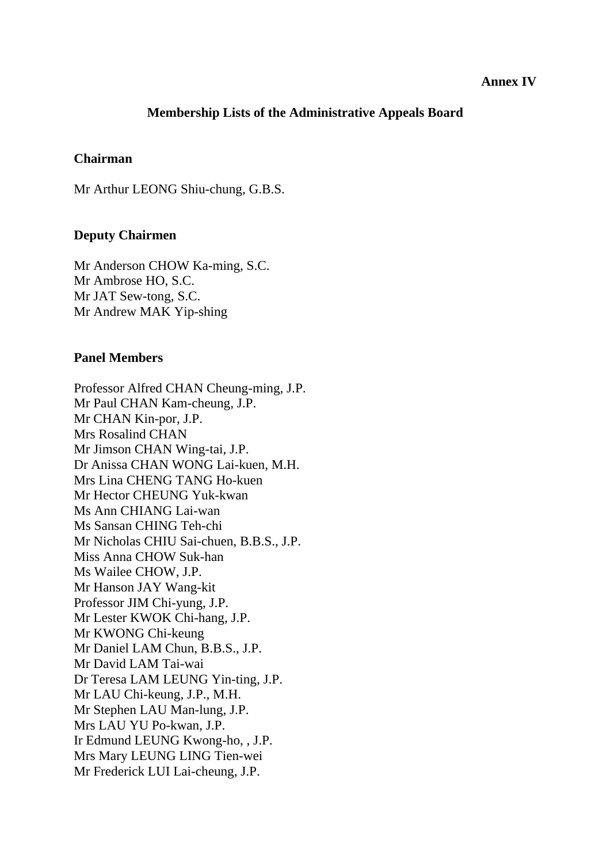#### **Annex IV**

### **Membership Lists of the Administrative Appeals Board**

#### **Chairman**

Mr Arthur LEONG Shiu-chung, G.B.S.

#### **Deputy Chairmen**

Mr Anderson CHOW Ka-ming, S.C. Mr Ambrose HO, S.C. Mr JAT Sew-tong, S.C. Mr Andrew MAK Yip-shing

#### **Panel Members**

Professor Alfred CHAN Cheung-ming, J.P. Mr Paul CHAN Kam-cheung, J.P. Mr CHAN Kin-por, J.P. Mrs Rosalind CHAN Mr Jimson CHAN Wing-tai, J.P. Dr Anissa CHAN WONG Lai-kuen, M.H. Mrs Lina CHENG TANG Ho-kuen Mr Hector CHEUNG Yuk-kwan Ms Ann CHIANG Lai-wan Ms Sansan CHING Teh-chi Mr Nicholas CHIU Sai-chuen, B.B.S., J.P. Miss Anna CHOW Suk-han Ms Wailee CHOW, J.P. Mr Hanson JAY Wang-kit Professor JIM Chi-yung, J.P. Mr Lester KWOK Chi-hang, J.P. Mr KWONG Chi-keung Mr Daniel LAM Chun, B.B.S., J.P. Mr David LAM Tai-wai Dr Teresa LAM LEUNG Yin-ting, J.P. Mr LAU Chi-keung, J.P., M.H. Mr Stephen LAU Man-lung, J.P. Mrs LAU YU Po-kwan, J.P. Ir Edmund LEUNG Kwong-ho, , J.P. Mrs Mary LEUNG LING Tien-wei Mr Frederick LUI Lai-cheung, J.P.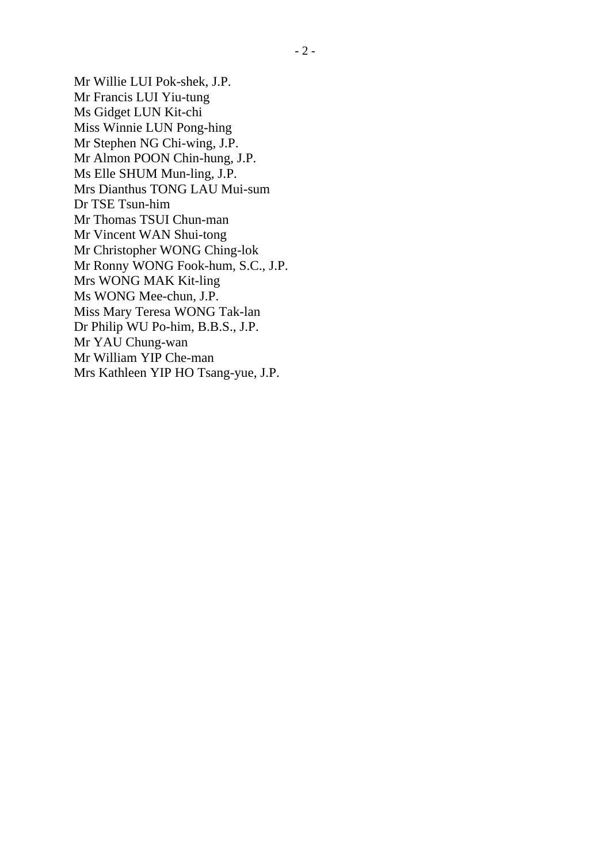Mr Willie LUI Pok-shek, J.P. Mr Francis LUI Yiu-tung Ms Gidget LUN Kit-chi Miss Winnie LUN Pong-hing Mr Stephen NG Chi-wing, J.P. Mr Almon POON Chin-hung, J.P. Ms Elle SHUM Mun-ling, J.P. Mrs Dianthus TONG LAU Mui-sum Dr TSE Tsun-him Mr Thomas TSUI Chun-man Mr Vincent WAN Shui-tong Mr Christopher WONG Ching-lok Mr Ronny WONG Fook-hum, S.C., J.P. Mrs WONG MAK Kit-ling Ms WONG Mee-chun, J.P. Miss Mary Teresa WONG Tak-lan Dr Philip WU Po-him, B.B.S., J.P. Mr YAU Chung-wan Mr William YIP Che-man Mrs Kathleen YIP HO Tsang-yue, J.P.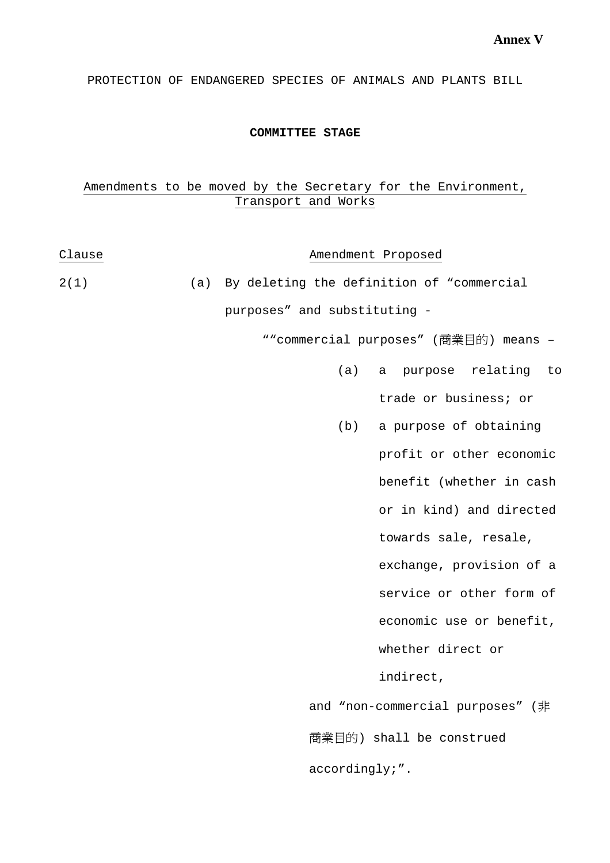PROTECTION OF ENDANGERED SPECIES OF ANIMALS AND PLANTS BILL

#### **COMMITTEE STAGE**

### Amendments to be moved by the Secretary for the Environment, Transport and Works

| Clause |                                       | Amendment Proposed                            |  |
|--------|---------------------------------------|-----------------------------------------------|--|
| 2(1)   |                                       | (a) By deleting the definition of "commercial |  |
|        | purposes" and substituting -          |                                               |  |
|        | ""commercial purposes" (商業目的) means - |                                               |  |
|        | (a)                                   | a purpose relating<br>to                      |  |
|        |                                       | trade or business; or                         |  |
|        |                                       | (b) a purpose of obtaining                    |  |
|        |                                       | profit or other economic                      |  |
|        |                                       | benefit (whether in cash                      |  |
|        |                                       | or in kind) and directed                      |  |
|        |                                       | towards sale, resale,                         |  |
|        |                                       | exchange, provision of a                      |  |
|        |                                       | service or other form of                      |  |
|        |                                       | economic use or benefit,                      |  |
|        |                                       | whether direct or                             |  |
|        |                                       | indirect,                                     |  |
|        |                                       | and "non-commercial purposes" (非              |  |
|        |                                       | 商業目的) shall be construed                      |  |
|        |                                       |                                               |  |

accordingly;".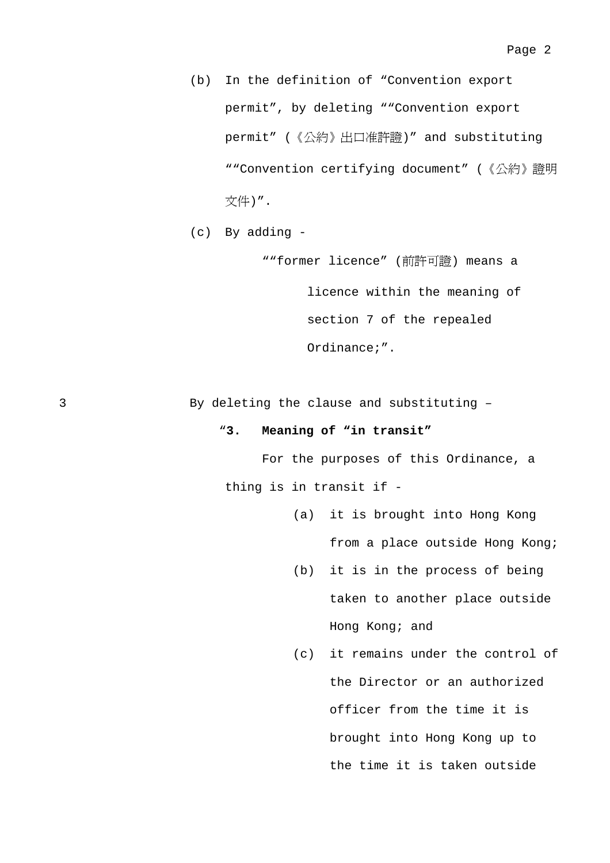- (b) In the definition of "Convention export permit", by deleting ""Convention export permit" (《公約》出口准許證)" and substituting ""Convention certifying document" (《公約》證明 文件)".
- (c) By adding -

""former licence" (前許可證) means a licence within the meaning of section 7 of the repealed Ordinance;".

3 By deleting the clause and substituting –

#### "**3. Meaning of "in transit"**

 For the purposes of this Ordinance, a thing is in transit if -

- (a) it is brought into Hong Kong from a place outside Hong Kong;
- (b) it is in the process of being taken to another place outside Hong Kong; and
- (c) it remains under the control of the Director or an authorized officer from the time it is brought into Hong Kong up to the time it is taken outside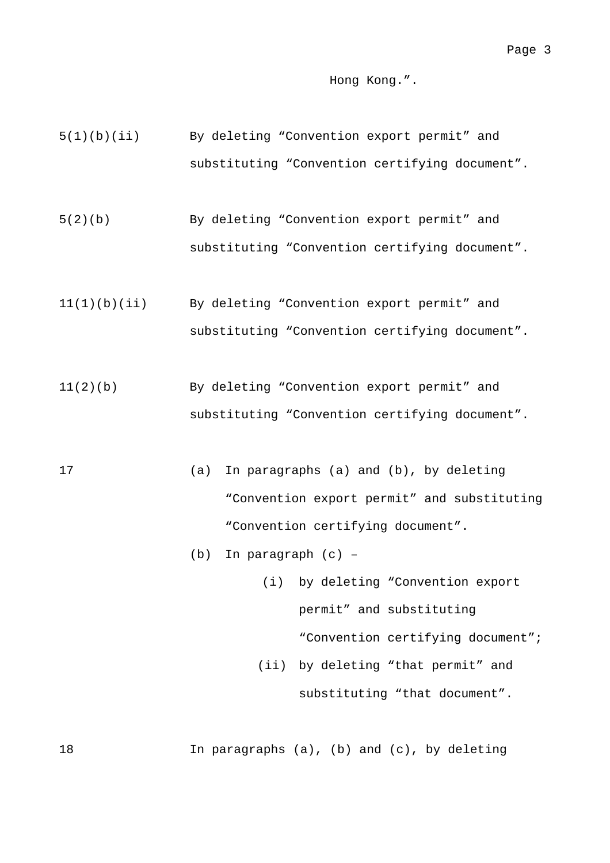#### Hong Kong.".

- 5(1)(b)(ii) By deleting "Convention export permit" and substituting "Convention certifying document".
- 5(2)(b) By deleting "Convention export permit" and substituting "Convention certifying document".
- 11(1)(b)(ii) By deleting "Convention export permit" and substituting "Convention certifying document".
- 11(2)(b) By deleting "Convention export permit" and substituting "Convention certifying document".
- 17 (a) In paragraphs (a) and (b), by deleting "Convention export permit" and substituting "Convention certifying document".
	- (b) In paragraph (c) –
	- (i) by deleting "Convention export permit" and substituting "Convention certifying document"; (ii) by deleting "that permit" and substituting "that document".

18 In paragraphs (a), (b) and (c), by deleting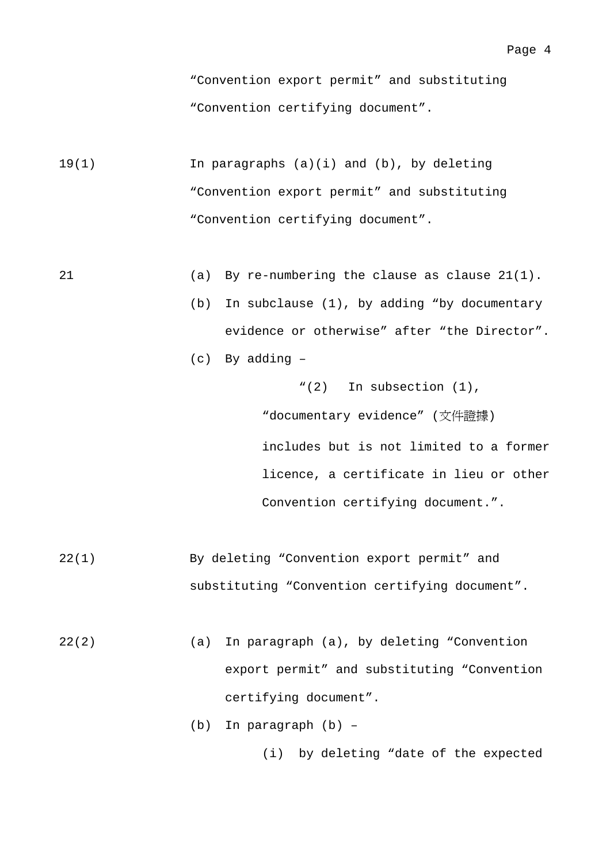"Convention export permit" and substituting "Convention certifying document".

- 19(1) In paragraphs (a)(i) and (b), by deleting "Convention export permit" and substituting "Convention certifying document".
- 21 (a) By re-numbering the clause as clause 21(1).
	- (b) In subclause (1), by adding "by documentary evidence or otherwise" after "the Director".
	- (c) By adding –

"(2) In subsection (1), "documentary evidence" (文件證據) includes but is not limited to a former licence, a certificate in lieu or other Convention certifying document.".

- 22(1) By deleting "Convention export permit" and substituting "Convention certifying document".
- 22(2) (a) In paragraph (a), by deleting "Convention export permit" and substituting "Convention certifying document".
	- (b) In paragraph (b) –

(i) by deleting "date of the expected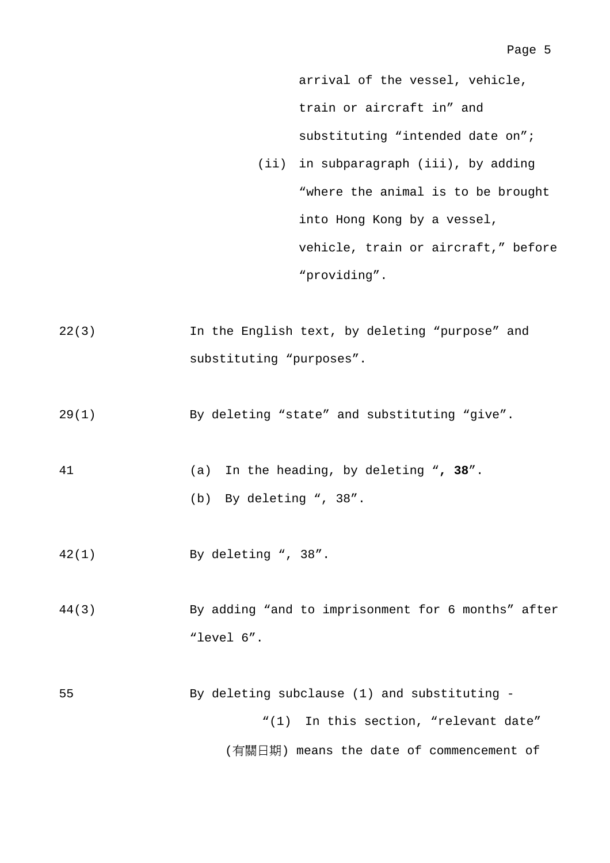arrival of the vessel, vehicle, train or aircraft in" and substituting "intended date on";

- (ii) in subparagraph (iii), by adding "where the animal is to be brought into Hong Kong by a vessel, vehicle, train or aircraft," before "providing".
- 22(3) In the English text, by deleting "purpose" and substituting "purposes".
- 29(1) By deleting "state" and substituting "give".
- 41 (a) In the heading, by deleting "**, 38**".

(b) By deleting ", 38".

- 42(1) By deleting ", 38".
- 44(3) By adding "and to imprisonment for 6 months" after "level 6".
- 55 By deleting subclause (1) and substituting "(1) In this section, "relevant date" (有關日期) means the date of commencement of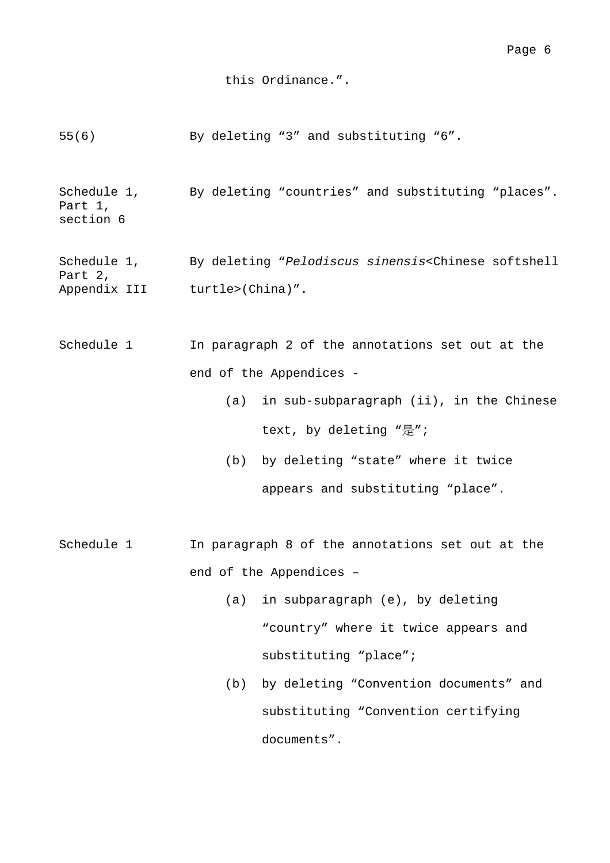#### this Ordinance.".

55(6) By deleting "3" and substituting "6".

Schedule 1, Part 1, section 6 By deleting "countries" and substituting "places".

Schedule 1, Part 2, Appendix III turtle>(China)". By deleting "*Pelodiscus sinensis*<Chinese softshell

- Schedule 1 In paragraph 2 of the annotations set out at the end of the Appendices -
	- (a) in sub-subparagraph (ii), in the Chinese text, by deleting "是";
	- (b) by deleting "state" where it twice appears and substituting "place".
- Schedule 1 In paragraph 8 of the annotations set out at the end of the Appendices –
	- (a) in subparagraph (e), by deleting "country" where it twice appears and substituting "place";
	- (b) by deleting "Convention documents" and substituting "Convention certifying documents".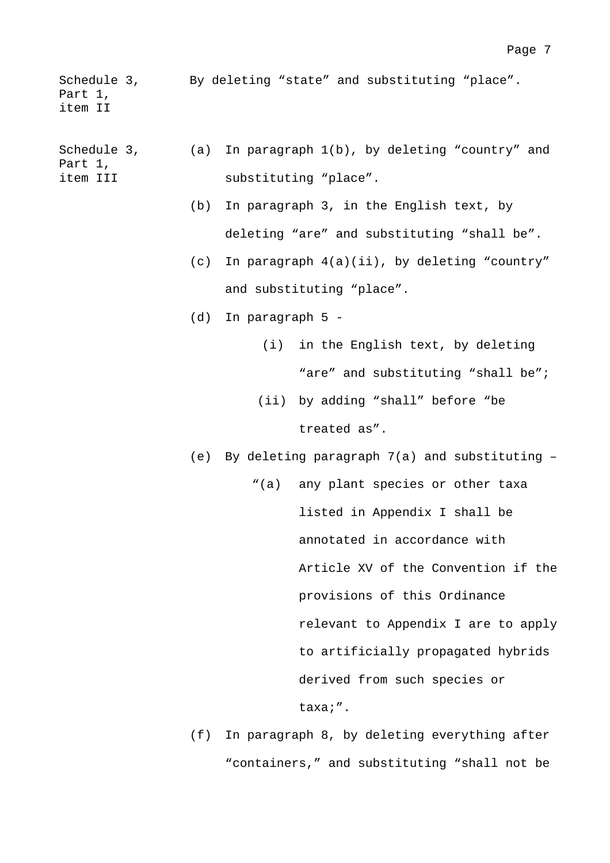Schedule 3, By deleting "state" and substituting "place". Part 1, item II

Schedule 3, Part 1, item III (a) In paragraph 1(b), by deleting "country" and substituting "place".

- (b) In paragraph 3, in the English text, by deleting "are" and substituting "shall be".
- (c) In paragraph 4(a)(ii), by deleting "country" and substituting "place".
- (d) In paragraph 5
	- (i) in the English text, by deleting "are" and substituting "shall be";
	- (ii) by adding "shall" before "be treated as".

(e) By deleting paragraph 7(a) and substituting –

- "(a) any plant species or other taxa listed in Appendix I shall be annotated in accordance with Article XV of the Convention if the provisions of this Ordinance relevant to Appendix I are to apply to artificially propagated hybrids derived from such species or taxa;".
- (f) In paragraph 8, by deleting everything after "containers," and substituting "shall not be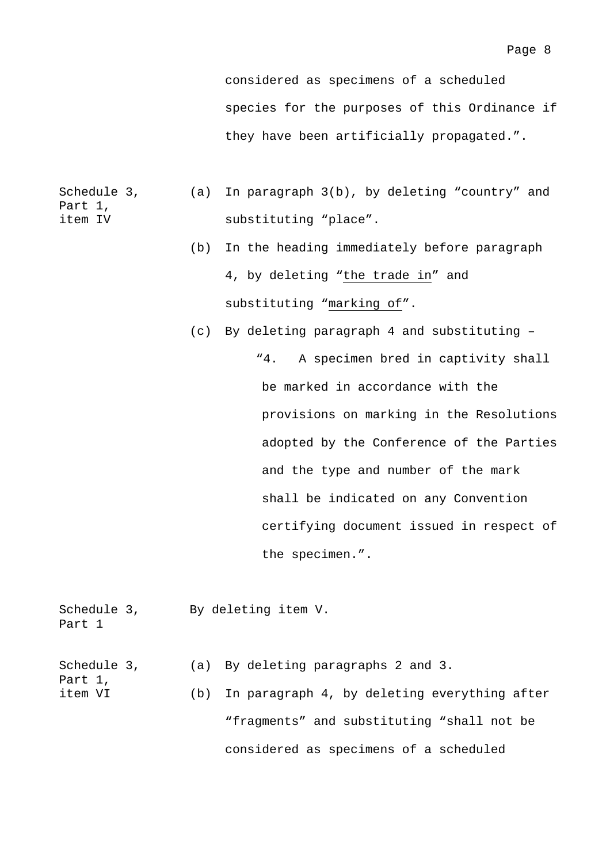considered as specimens of a scheduled species for the purposes of this Ordinance if they have been artificially propagated.".

- Schedule 3, Part 1, item IV (a) In paragraph 3(b), by deleting "country" and substituting "place".
	- (b) In the heading immediately before paragraph 4, by deleting "the trade in" and substituting "marking of".
	- (c) By deleting paragraph 4 and substituting "4. A specimen bred in captivity shall be marked in accordance with the provisions on marking in the Resolutions adopted by the Conference of the Parties and the type and number of the mark shall be indicated on any Convention certifying document issued in respect of the specimen.".
- Schedule 3, By deleting item V. Part 1 Schedule 3, Part 1, item VI (a) By deleting paragraphs 2 and 3. (b) In paragraph 4, by deleting everything after "fragments" and substituting "shall not be considered as specimens of a scheduled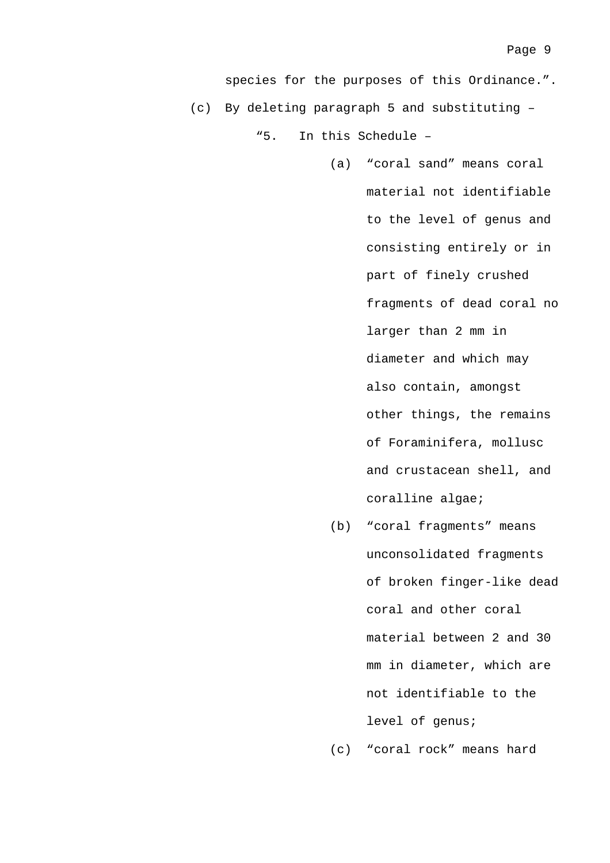(a) "coral sand" means coral material not identifiable to the level of genus and consisting entirely or in part of finely crushed fragments of dead coral no larger than 2 mm in diameter and which may also contain, amongst other things, the remains of Foraminifera, mollusc and crustacean shell, and coralline algae;

(b) "coral fragments" means unconsolidated fragments of broken finger-like dead coral and other coral material between 2 and 30 mm in diameter, which are not identifiable to the level of genus;

(c) "coral rock" means hard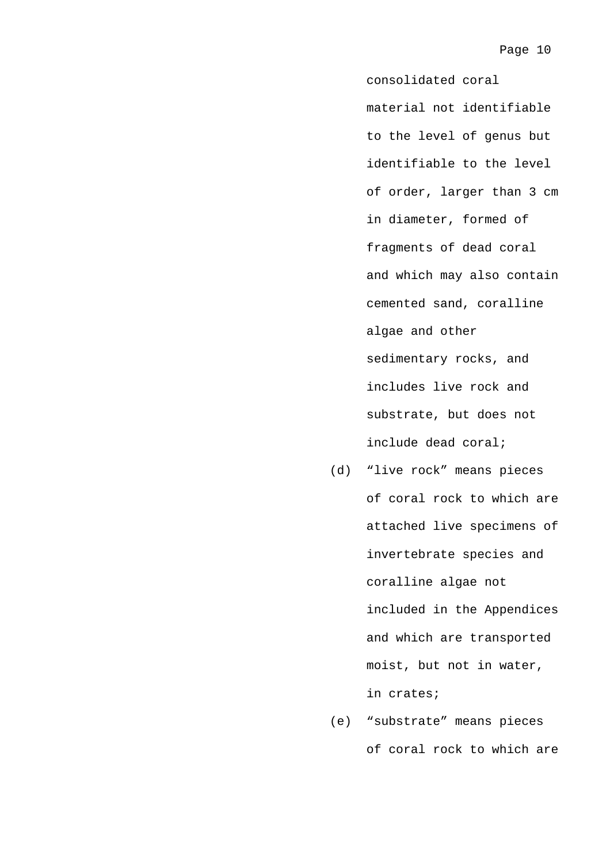consolidated coral material not identifiable to the level of genus but identifiable to the level of order, larger than 3 cm in diameter, formed of fragments of dead coral and which may also contain cemented sand, coralline algae and other sedimentary rocks, and includes live rock and substrate, but does not include dead coral;

- (d) "live rock" means pieces of coral rock to which are attached live specimens of invertebrate species and coralline algae not included in the Appendices and which are transported moist, but not in water, in crates;
- (e) "substrate" means pieces of coral rock to which are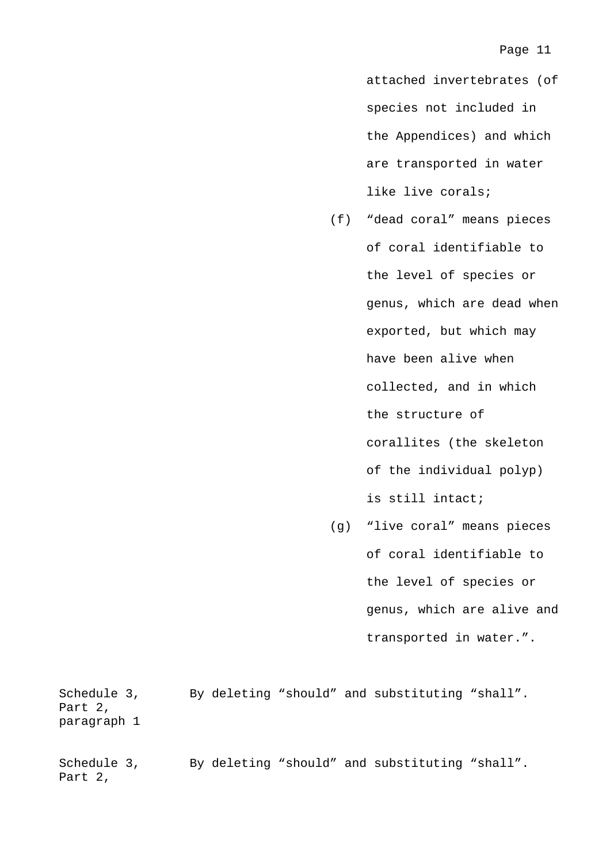attached invertebrates (of species not included in the Appendices) and which are transported in water like live corals;

- (f) "dead coral" means pieces of coral identifiable to the level of species or genus, which are dead when exported, but which may have been alive when collected, and in which the structure of corallites (the skeleton of the individual polyp) is still intact;
- (g) "live coral" means pieces of coral identifiable to the level of species or genus, which are alive and transported in water.".

Schedule 3, By deleting "should" and substituting "shall". Part 2, paragraph 1

Schedule 3, By deleting "should" and substituting "shall". Part 2,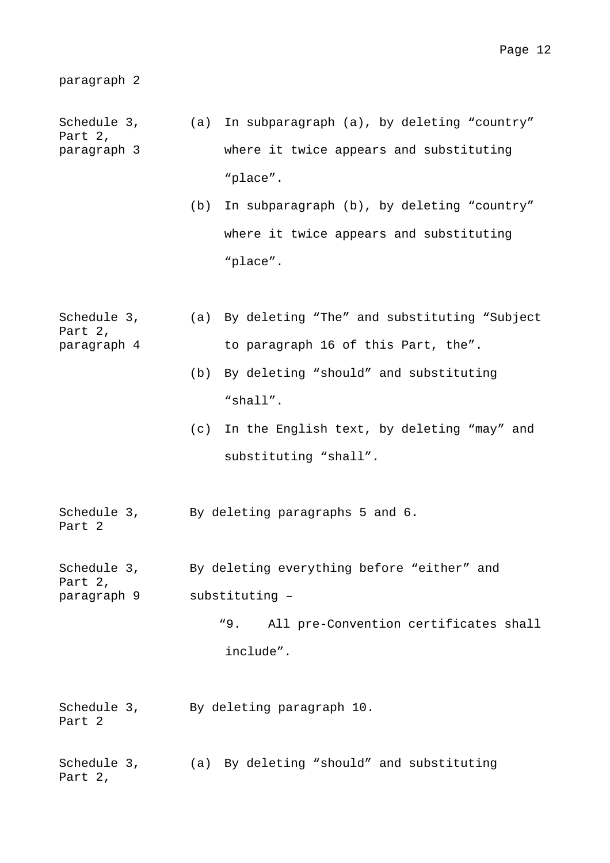```
paragraph 2
```
- Schedule 3, Part 2, paragraph 3 (a) In subparagraph (a), by deleting "country" where it twice appears and substituting "place".
	- (b) In subparagraph (b), by deleting "country" where it twice appears and substituting "place".
- Schedule 3, Part 2, paragraph 4 (a) By deleting "The" and substituting "Subject to paragraph 16 of this Part, the".
	- (b) By deleting "should" and substituting "shall".
	- (c) In the English text, by deleting "may" and substituting "shall".

Schedule 3, By deleting paragraphs 5 and 6.

Part 2

Schedule 3, By deleting everything before "either" and Part 2, paragraph 9 substituting –

"9. All pre-Convention certificates shall include".

- Schedule 3, By deleting paragraph 10. Part 2
- Schedule 3, (a) By deleting "should" and substituting Part 2,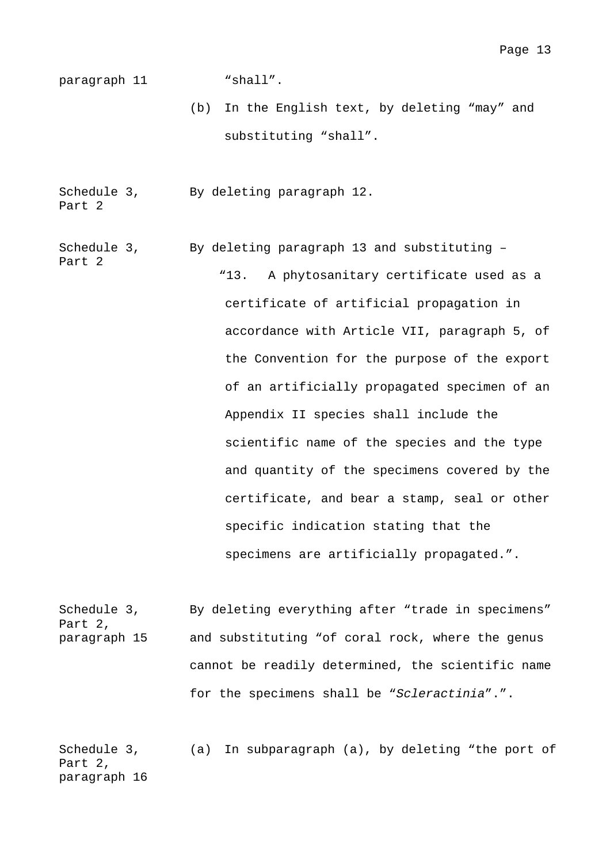paragraph 11 "shall".

(b) In the English text, by deleting "may" and substituting "shall".

Schedule 3, Part 2 By deleting paragraph 12.

Schedule 3, By deleting paragraph 13 and substituting –

Part 2 "13. A phytosanitary certificate used as a certificate of artificial propagation in accordance with Article VII, paragraph 5, of the Convention for the purpose of the export of an artificially propagated specimen of an Appendix II species shall include the scientific name of the species and the type and quantity of the specimens covered by the certificate, and bear a stamp, seal or other specific indication stating that the specimens are artificially propagated.".

Schedule 3, Part 2, paragraph 15 By deleting everything after "trade in specimens" and substituting "of coral rock, where the genus cannot be readily determined, the scientific name for the specimens shall be "*Scleractinia*".".

Schedule 3, Part 2, paragraph 16 (a) In subparagraph (a), by deleting "the port of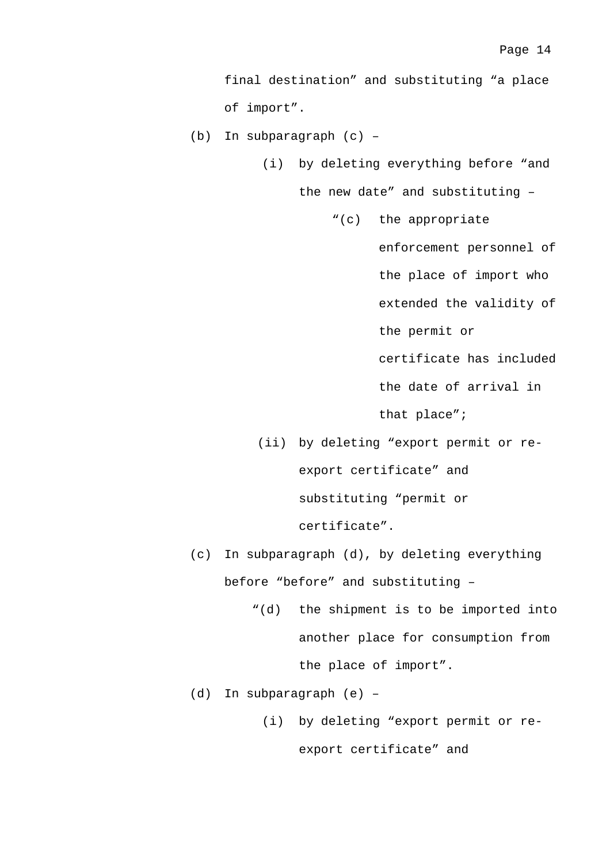final destination" and substituting "a place of import".

(b) In subparagraph (c) –

(i) by deleting everything before "and

the new date" and substituting –

"(c) the appropriate

enforcement personnel of the place of import who extended the validity of the permit or certificate has included

the date of arrival in

that place";

(ii) by deleting "export permit or reexport certificate" and substituting "permit or certificate".

(c) In subparagraph (d), by deleting everything before "before" and substituting –

- "(d) the shipment is to be imported into another place for consumption from the place of import".
- (d) In subparagraph (e)
	- (i) by deleting "export permit or reexport certificate" and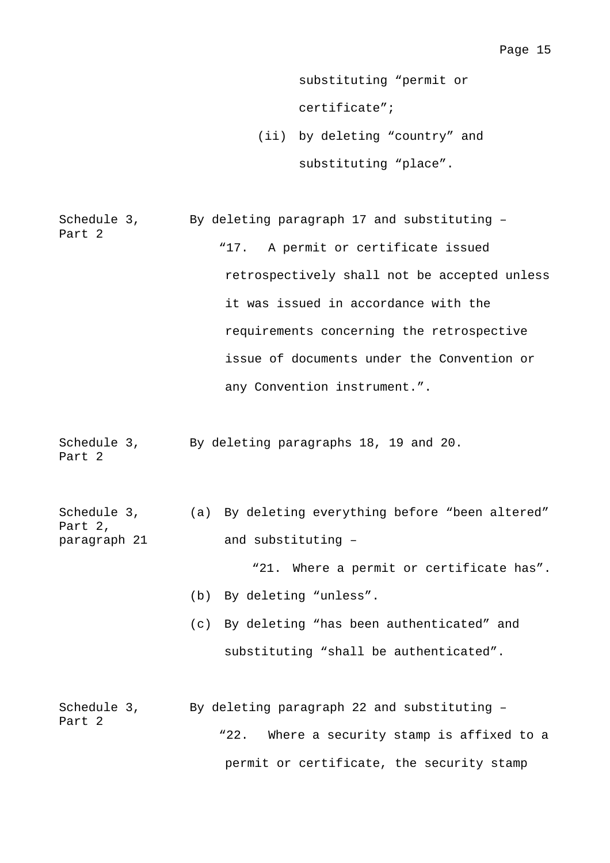substituting "permit or certificate";

(ii) by deleting "country" and substituting "place".

Schedule 3, Part 2 By deleting paragraph 17 and substituting – "17. A permit or certificate issued retrospectively shall not be accepted unless it was issued in accordance with the requirements concerning the retrospective issue of documents under the Convention or any Convention instrument.".

Schedule 3, By deleting paragraphs 18, 19 and 20. Part 2

| Schedule 3,  | (a) By deleting everything before "been altered" |  |
|--------------|--------------------------------------------------|--|
| Part 2,      |                                                  |  |
| paragraph 21 | and substituting -                               |  |

"21. Where a permit or certificate has".

- (b) By deleting "unless".
- (c) By deleting "has been authenticated" and substituting "shall be authenticated".
- Schedule 3, Part 2 By deleting paragraph 22 and substituting – "22. Where a security stamp is affixed to a permit or certificate, the security stamp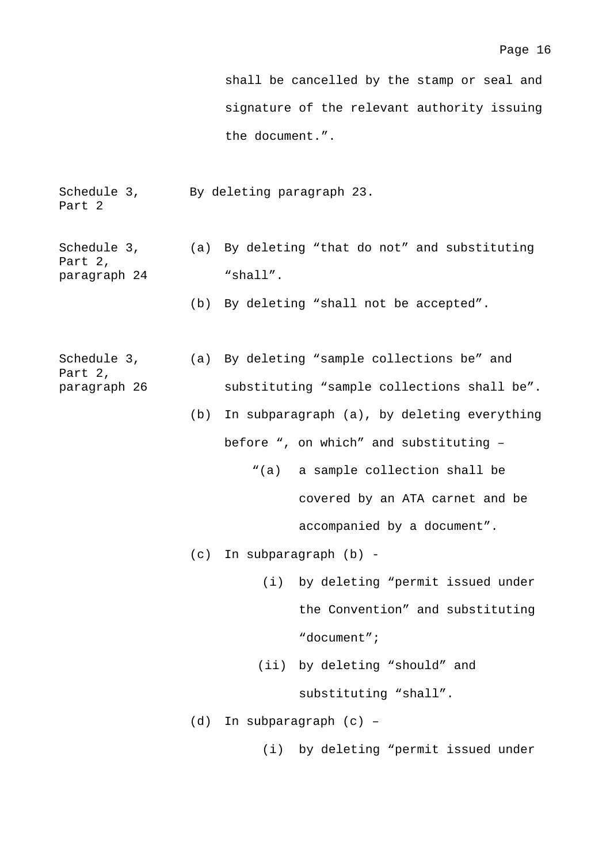shall be cancelled by the stamp or seal and signature of the relevant authority issuing the document.".

- Schedule 3, Part 2 By deleting paragraph 23.
- Schedule 3, Part 2, paragraph 24 (a) By deleting "that do not" and substituting "shall".
	- (b) By deleting "shall not be accepted".
- Schedule 3, Part 2, paragraph 26 (a) By deleting "sample collections be" and substituting "sample collections shall be".
	- (b) In subparagraph (a), by deleting everything before ", on which" and substituting –
		- "(a) a sample collection shall be covered by an ATA carnet and be accompanied by a document".
	- (c) In subparagraph (b)
		- (i) by deleting "permit issued under the Convention" and substituting "document";
		- (ii) by deleting "should" and substituting "shall".
	- (d) In subparagraph (c)
		- (i) by deleting "permit issued under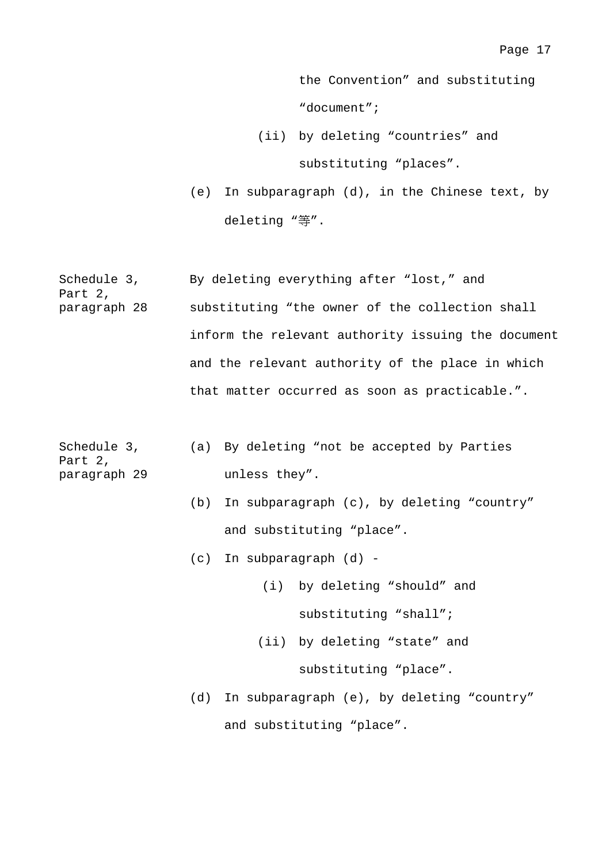the Convention" and substituting "document";

- (ii) by deleting "countries" and substituting "places".
- (e) In subparagraph (d), in the Chinese text, by deleting "等".

| Schedule 3,<br>Part 2, | By deleting everything after "lost," and        |               |                                                    |  |
|------------------------|-------------------------------------------------|---------------|----------------------------------------------------|--|
| paragraph 28           | substituting "the owner of the collection shall |               |                                                    |  |
|                        |                                                 |               | inform the relevant authority issuing the document |  |
|                        |                                                 |               | and the relevant authority of the place in which   |  |
|                        |                                                 |               | that matter occurred as soon as practicable.".     |  |
|                        |                                                 |               |                                                    |  |
| Schedule 3,<br>Part 2, |                                                 |               | (a) By deleting "not be accepted by Parties        |  |
| paragraph 29           |                                                 | unless they". |                                                    |  |
|                        | (b)                                             |               | In subparagraph (c), by deleting "country"         |  |
|                        |                                                 |               | and substituting "place".                          |  |
|                        | (c)                                             |               | In subparagraph (d) -                              |  |
|                        |                                                 |               | (i) by deleting "should" and                       |  |
|                        |                                                 |               | substituting "shall";                              |  |
|                        |                                                 |               | (ii) by deleting "state" and                       |  |
|                        |                                                 |               | substituting "place".                              |  |
|                        | (d)                                             |               | In subparagraph (e), by deleting "country"         |  |
|                        |                                                 |               | and substituting "place".                          |  |